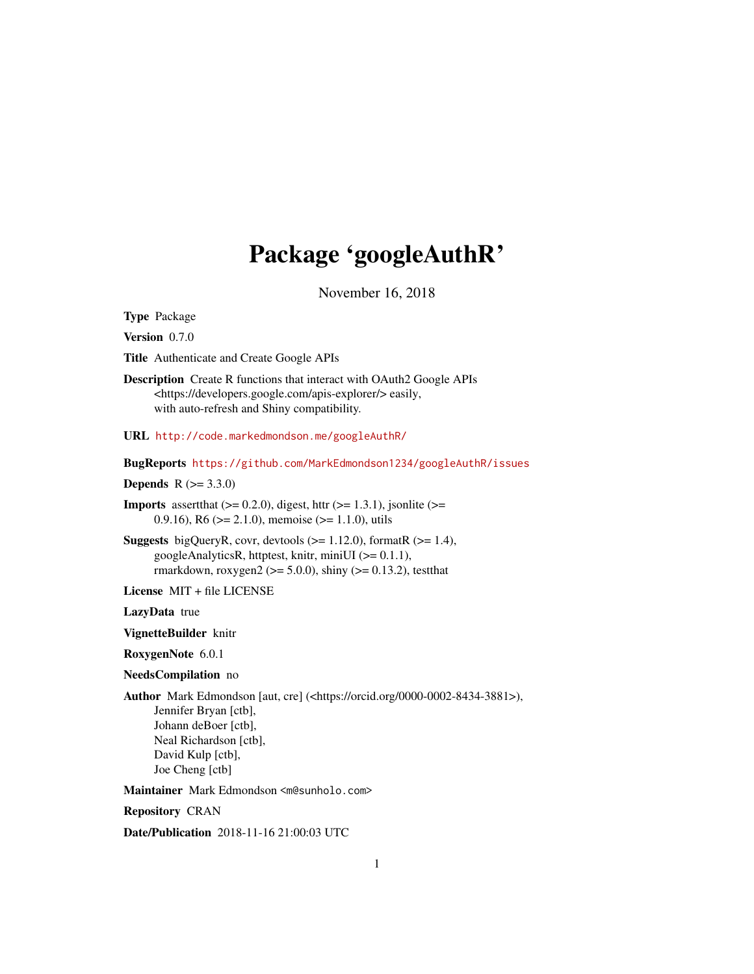# Package 'googleAuthR'

November 16, 2018

<span id="page-0-0"></span>Type Package

Version 0.7.0

Title Authenticate and Create Google APIs

Description Create R functions that interact with OAuth2 Google APIs <https://developers.google.com/apis-explorer/> easily, with auto-refresh and Shiny compatibility.

URL <http://code.markedmondson.me/googleAuthR/>

BugReports <https://github.com/MarkEdmondson1234/googleAuthR/issues>

**Depends**  $R (= 3.3.0)$ 

**Imports** assert that  $(>= 0.2.0)$ , digest, httr  $(>= 1.3.1)$ , jsonlite  $(>= 1.3.1)$ 0.9.16), R6 ( $>= 2.1.0$ ), memoise ( $>= 1.1.0$ ), utils

**Suggests** bigQueryR, covr, devtools  $(>= 1.12.0)$ , formatR  $(>= 1.4)$ , googleAnalyticsR, httptest, knitr, miniUI (>= 0.1.1), rmarkdown, roxygen2 ( $>=$  5.0.0), shiny ( $>=$  0.13.2), testthat

License MIT + file LICENSE

LazyData true

VignetteBuilder knitr

RoxygenNote 6.0.1

NeedsCompilation no

Author Mark Edmondson [aut, cre] (<https://orcid.org/0000-0002-8434-3881>),

Jennifer Bryan [ctb], Johann deBoer [ctb], Neal Richardson [ctb], David Kulp [ctb], Joe Cheng [ctb]

Maintainer Mark Edmondson <m@sunholo.com>

Repository CRAN

Date/Publication 2018-11-16 21:00:03 UTC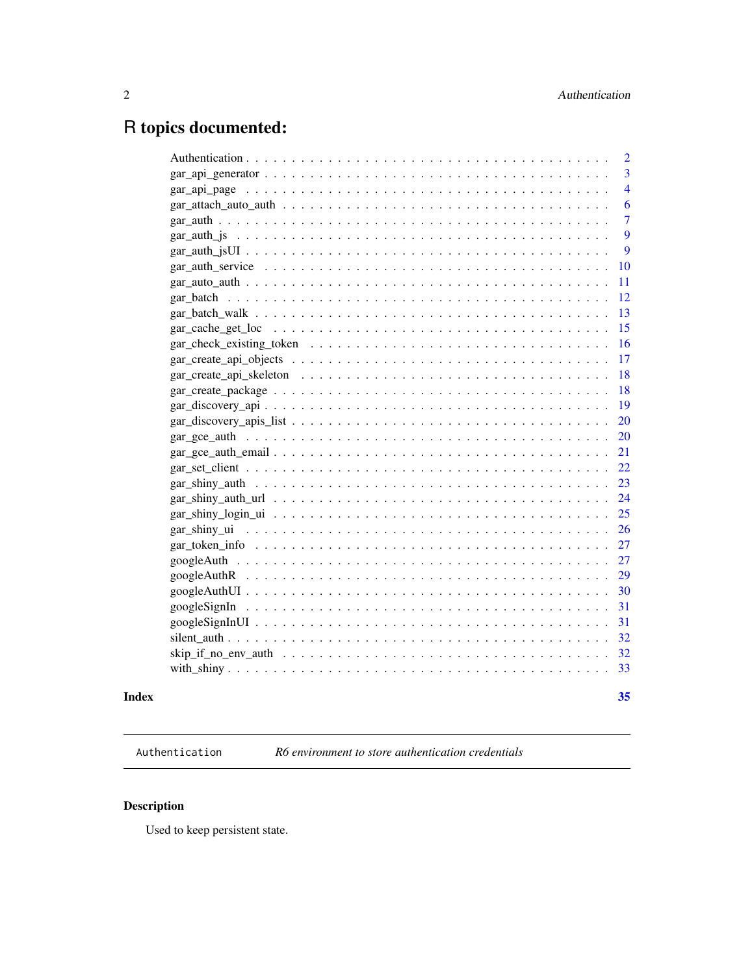## <span id="page-1-0"></span>R topics documented:

|                                                                                                                               | $\overline{2}$ |
|-------------------------------------------------------------------------------------------------------------------------------|----------------|
|                                                                                                                               | $\overline{3}$ |
|                                                                                                                               | $\overline{4}$ |
| $gar\_attack\_auto\_author \dots \dots \dots \dots \dots \dots \dots \dots \dots \dots \dots \dots \dots$                     | 6              |
|                                                                                                                               | $\overline{7}$ |
|                                                                                                                               | 9              |
|                                                                                                                               | 9              |
| $gar_auth_$ service $\ldots \ldots \ldots \ldots \ldots \ldots \ldots \ldots \ldots \ldots \ldots \ldots \ldots$              | 10             |
|                                                                                                                               | 11             |
|                                                                                                                               | <sup>12</sup>  |
|                                                                                                                               | 13             |
|                                                                                                                               | 15             |
|                                                                                                                               | 16             |
|                                                                                                                               | 17             |
|                                                                                                                               | 18             |
|                                                                                                                               | -18            |
|                                                                                                                               | 19             |
|                                                                                                                               | 20             |
|                                                                                                                               | 20             |
|                                                                                                                               | 21             |
|                                                                                                                               | 22             |
|                                                                                                                               |                |
| $gar\_shiny\_auth\_url \dots \dots \dots \dots \dots \dots \dots \dots \dots \dots \dots \dots \dots \dots \dots \dots \dots$ |                |
|                                                                                                                               | 25             |
| gar shiny ui $\dots \dots \dots \dots \dots \dots \dots \dots \dots \dots \dots \dots \dots \dots \dots \dots$                | 26             |
|                                                                                                                               | 27             |
|                                                                                                                               | 27             |
|                                                                                                                               | 29             |
|                                                                                                                               | 30             |
|                                                                                                                               | 31             |
|                                                                                                                               |                |
|                                                                                                                               | 32             |
|                                                                                                                               | 32             |
|                                                                                                                               | 33             |
|                                                                                                                               |                |

## **Index** [35](#page-34-0)

Authentication *R6 environment to store authentication credentials*

## Description

Used to keep persistent state.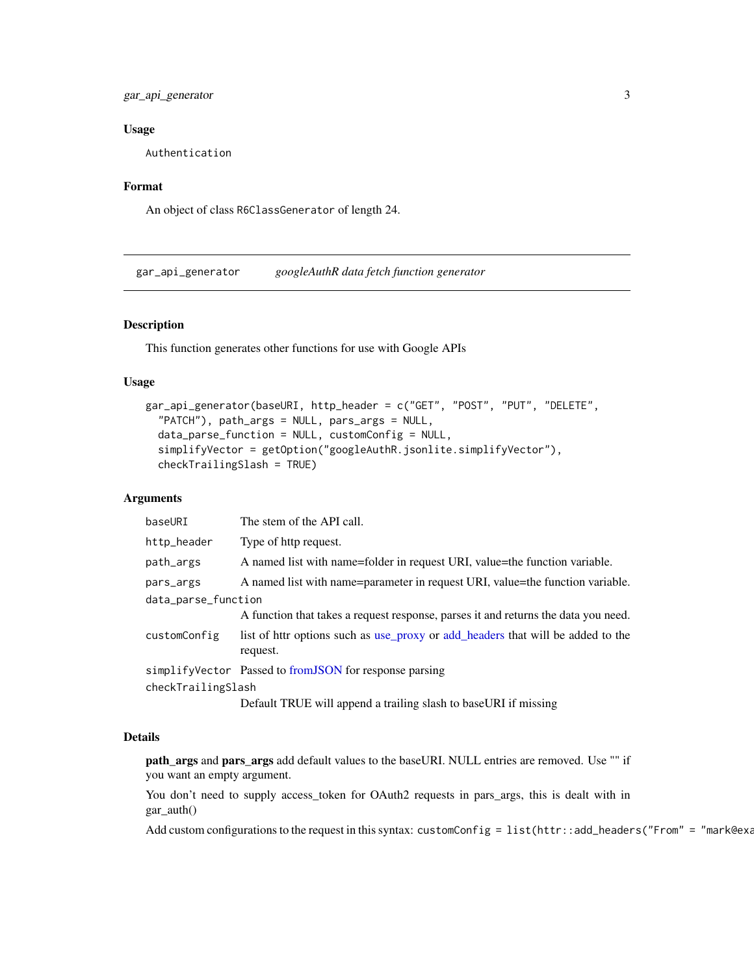## <span id="page-2-0"></span>gar\_api\_generator 3

#### Usage

Authentication

## Format

An object of class R6ClassGenerator of length 24.

<span id="page-2-1"></span>gar\_api\_generator *googleAuthR data fetch function generator*

## Description

This function generates other functions for use with Google APIs

## Usage

```
gar_api_generator(baseURI, http_header = c("GET", "POST", "PUT", "DELETE",
  "PATCH"), path_args = NULL, pars_args = NULL,
  data_parse_function = NULL, customConfig = NULL,
  simplifyVector = getOption("googleAuthR.jsonlite.simplifyVector"),
  checkTrailingSlash = TRUE)
```
#### Arguments

| baseURI             | The stem of the API call.                                                                   |  |
|---------------------|---------------------------------------------------------------------------------------------|--|
| http_header         | Type of http request.                                                                       |  |
| path_args           | A named list with name=folder in request URI, value=the function variable.                  |  |
| pars_args           | A named list with name=parameter in request URI, value=the function variable.               |  |
| data_parse_function |                                                                                             |  |
|                     | A function that takes a request response, parses it and returns the data you need.          |  |
| customConfig        | list of httr options such as use_proxy or add_headers that will be added to the<br>request. |  |
|                     | simplifyVector Passed to from JSON for response parsing                                     |  |
| checkTrailingSlash  |                                                                                             |  |
|                     | Default TDUE will ennear a trailing sleep to begal IDI if missing                           |  |

Default TRUE will append a trailing slash to baseURI if missing

## Details

path\_args and pars\_args add default values to the baseURI. NULL entries are removed. Use "" if you want an empty argument.

You don't need to supply access\_token for OAuth2 requests in pars\_args, this is dealt with in gar\_auth()

Add custom configurations to the request in this syntax: customConfig = list(httr::add\_headers("From" = "mark@exa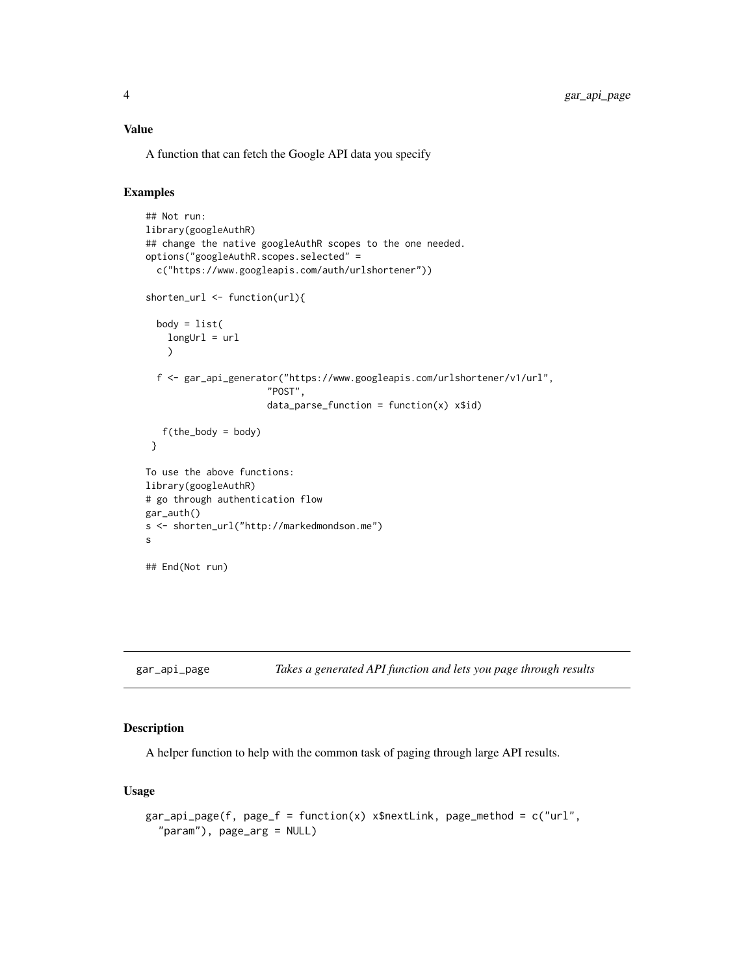## <span id="page-3-0"></span>Value

A function that can fetch the Google API data you specify

## Examples

```
## Not run:
library(googleAuthR)
## change the native googleAuthR scopes to the one needed.
options("googleAuthR.scopes.selected" =
  c("https://www.googleapis.com/auth/urlshortener"))
shorten_url <- function(url){
  body = list(longUr1 = ur1\lambdaf <- gar_api_generator("https://www.googleapis.com/urlshortener/v1/url",
                      "POST",
                      data\_parse\_function = function(x) x$id)
   f(the_body = body)
 }
To use the above functions:
library(googleAuthR)
# go through authentication flow
gar_auth()
s <- shorten_url("http://markedmondson.me")
s
## End(Not run)
```

```
gar_api_page Takes a generated API function and lets you page through results
```
## Description

A helper function to help with the common task of paging through large API results.

## Usage

```
gar_api_page(f, page_f = function(x) x$nextLink, page_method = c("url",
  "param"), page_arg = NULL)
```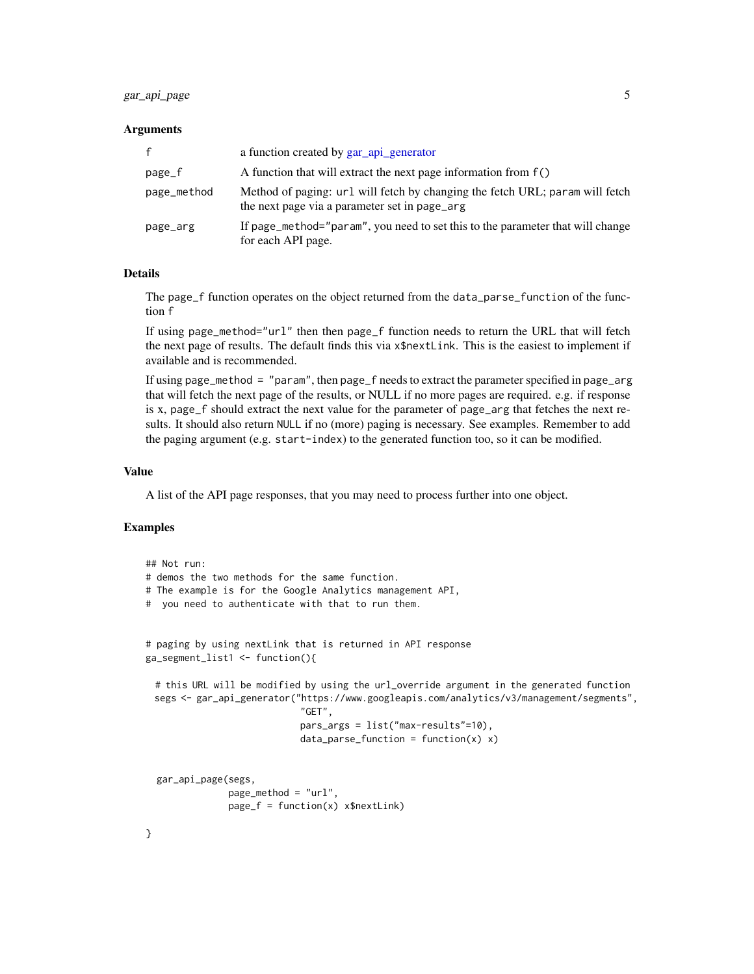## <span id="page-4-0"></span>gar\_api\_page 5

#### **Arguments**

| f           | a function created by gar_api_generator                                                                                       |
|-------------|-------------------------------------------------------------------------------------------------------------------------------|
| page_f      | A function that will extract the next page information from f()                                                               |
| page_method | Method of paging: url will fetch by changing the fetch URL; param will fetch<br>the next page via a parameter set in page_arg |
| page_arg    | If page_method="param", you need to set this to the parameter that will change<br>for each API page.                          |

## **Details**

The page\_f function operates on the object returned from the data\_parse\_function of the function f

If using page\_method="url" then then page\_f function needs to return the URL that will fetch the next page of results. The default finds this via x\$nextLink. This is the easiest to implement if available and is recommended.

If using page\_method = "param", then page\_f needs to extract the parameter specified in page\_arg that will fetch the next page of the results, or NULL if no more pages are required. e.g. if response is x, page\_f should extract the next value for the parameter of page\_arg that fetches the next results. It should also return NULL if no (more) paging is necessary. See examples. Remember to add the paging argument (e.g. start-index) to the generated function too, so it can be modified.

#### Value

A list of the API page responses, that you may need to process further into one object.

#### Examples

```
## Not run:
# demos the two methods for the same function.
# The example is for the Google Analytics management API,
# you need to authenticate with that to run them.
# paging by using nextLink that is returned in API response
ga_segment_list1 <- function(){
 # this URL will be modified by using the url_override argument in the generated function
 segs <- gar_api_generator("https://www.googleapis.com/analytics/v3/management/segments",
                            "GET",
                            pars_args = list("max-results"=10),
                            data\_parse\_function = function(x) x)gar_api_page(segs,
              page_method = "url",
              page_f = function(x) x$nextLink)
```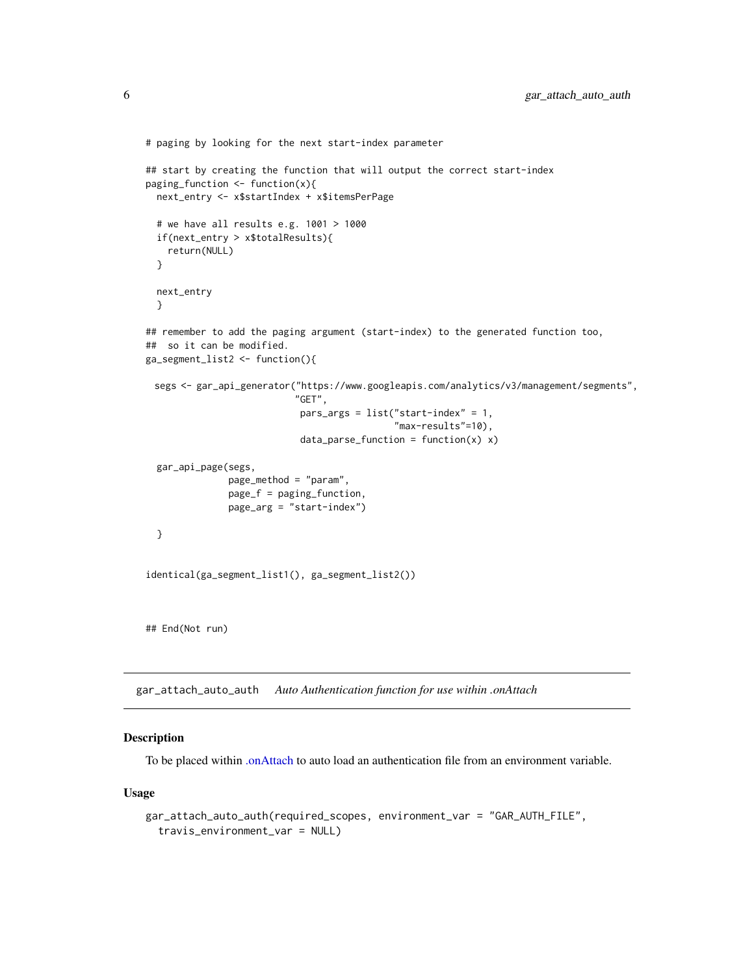```
# paging by looking for the next start-index parameter
## start by creating the function that will output the correct start-index
paging_function <- function(x){
 next_entry <- x$startIndex + x$itemsPerPage
 # we have all results e.g. 1001 > 1000
 if(next_entry > x$totalResults){
   return(NULL)
 }
 next_entry
 }
## remember to add the paging argument (start-index) to the generated function too,
## so it can be modified.
ga_segment_list2 <- function(){
 segs <- gar_api_generator("https://www.googleapis.com/analytics/v3/management/segments",
                           "GET",
                            pars_args = list("start-index" = 1,"max-results"=10),
                            data\_parse\_function = function(x) x)gar_api_page(segs,
              page_method = "param",
              page_f = paging_function,
              page_arg = "start-index")
 }
identical(ga_segment_list1(), ga_segment_list2())
## End(Not run)
```
<span id="page-5-1"></span>gar\_attach\_auto\_auth *Auto Authentication function for use within .onAttach*

## Description

To be placed within [.onAttach](#page-0-0) to auto load an authentication file from an environment variable.

#### Usage

```
gar_attach_auto_auth(required_scopes, environment_var = "GAR_AUTH_FILE",
  travis_environment_var = NULL)
```
<span id="page-5-0"></span>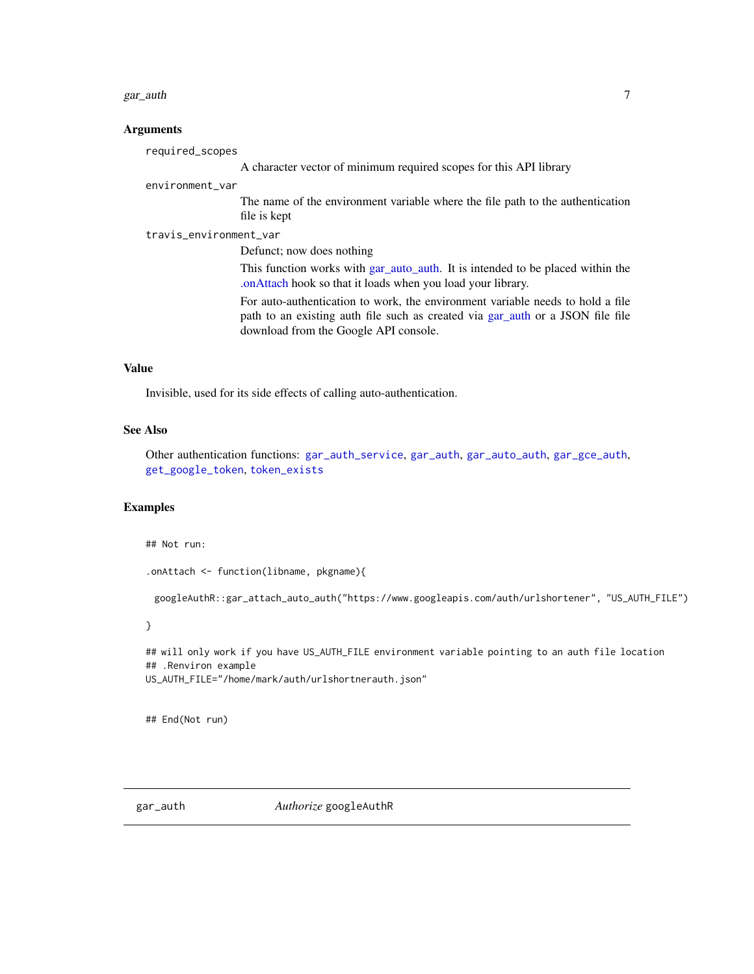#### <span id="page-6-0"></span>gar\_auth 7 and 7 and 7 and 7 and 7 and 7 and 7 and 7 and 7 and 7 and 7 and 7 and 7 and 7 and 7 and 7 and 7 and 7 and 7 and 7 and 7 and 7 and 7 and 7 and 7 and 7 and 7 and 7 and 7 and 7 and 7 and 7 and 7 and 7 and 7 and 7 a

#### Arguments

required\_scopes A character vector of minimum required scopes for this API library

#### environment\_var

The name of the environment variable where the file path to the authentication file is kept

travis\_environment\_var

Defunct; now does nothing

This function works with [gar\\_auto\\_auth.](#page-10-1) It is intended to be placed within the [.onAttach](#page-0-0) hook so that it loads when you load your library.

For auto-authentication to work, the environment variable needs to hold a file path to an existing auth file such as created via [gar\\_auth](#page-6-1) or a JSON file file download from the Google API console.

## Value

Invisible, used for its side effects of calling auto-authentication.

#### See Also

Other authentication functions: [gar\\_auth\\_service](#page-9-1), [gar\\_auth](#page-6-1), [gar\\_auto\\_auth](#page-10-1), [gar\\_gce\\_auth](#page-19-1), [get\\_google\\_token](#page-0-0), [token\\_exists](#page-0-0)

## Examples

## Not run:

```
.onAttach <- function(libname, pkgname){
```
googleAuthR::gar\_attach\_auto\_auth("https://www.googleapis.com/auth/urlshortener", "US\_AUTH\_FILE")

}

```
## will only work if you have US_AUTH_FILE environment variable pointing to an auth file location
## .Renviron example
US_AUTH_FILE="/home/mark/auth/urlshortnerauth.json"
```
## End(Not run)

<span id="page-6-1"></span>gar\_auth *Authorize* googleAuthR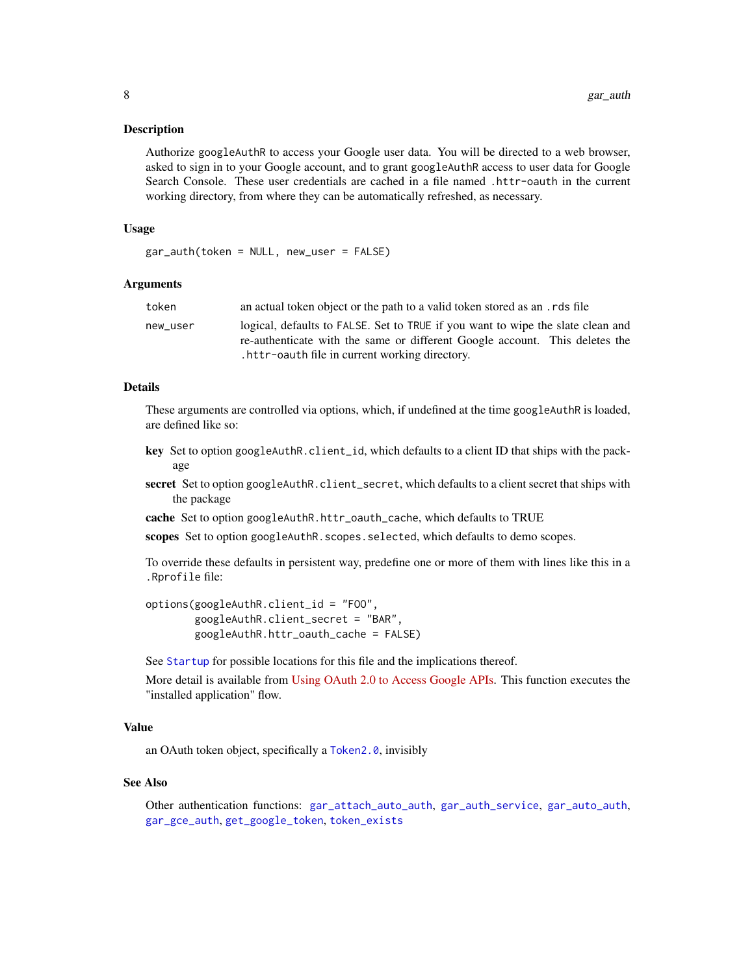<span id="page-7-0"></span>Authorize googleAuthR to access your Google user data. You will be directed to a web browser, asked to sign in to your Google account, and to grant googleAuthR access to user data for Google Search Console. These user credentials are cached in a file named .httr-oauth in the current working directory, from where they can be automatically refreshed, as necessary.

#### Usage

gar\_auth(token = NULL, new\_user = FALSE)

#### Arguments

| token    | an actual token object or the path to a valid token stored as an rds file       |  |
|----------|---------------------------------------------------------------------------------|--|
| new_user | logical, defaults to FALSE. Set to TRUE if you want to wipe the slate clean and |  |
|          | re-authenticate with the same or different Google account. This deletes the     |  |
|          | . httr-oauth file in current working directory.                                 |  |

## Details

These arguments are controlled via options, which, if undefined at the time googleAuthR is loaded, are defined like so:

- key Set to option googleAuthR.client\_id, which defaults to a client ID that ships with the package
- secret Set to option googleAuthR.client\_secret, which defaults to a client secret that ships with the package
- cache Set to option googleAuthR.httr\_oauth\_cache, which defaults to TRUE

scopes Set to option googleAuthR.scopes.selected, which defaults to demo scopes.

To override these defaults in persistent way, predefine one or more of them with lines like this in a .Rprofile file:

```
options(googleAuthR.client_id = "FOO",
       googleAuthR.client_secret = "BAR",
       googleAuthR.httr_oauth_cache = FALSE)
```
See [Startup](#page-0-0) for possible locations for this file and the implications thereof.

More detail is available from [Using OAuth 2.0 to Access Google APIs.](https://developers.google.com/identity/protocols/OAuth2) This function executes the "installed application" flow.

#### Value

an OAuth token object, specifically a [Token2.0](#page-0-0), invisibly

#### See Also

Other authentication functions: [gar\\_attach\\_auto\\_auth](#page-5-1), [gar\\_auth\\_service](#page-9-1), [gar\\_auto\\_auth](#page-10-1), [gar\\_gce\\_auth](#page-19-1), [get\\_google\\_token](#page-0-0), [token\\_exists](#page-0-0)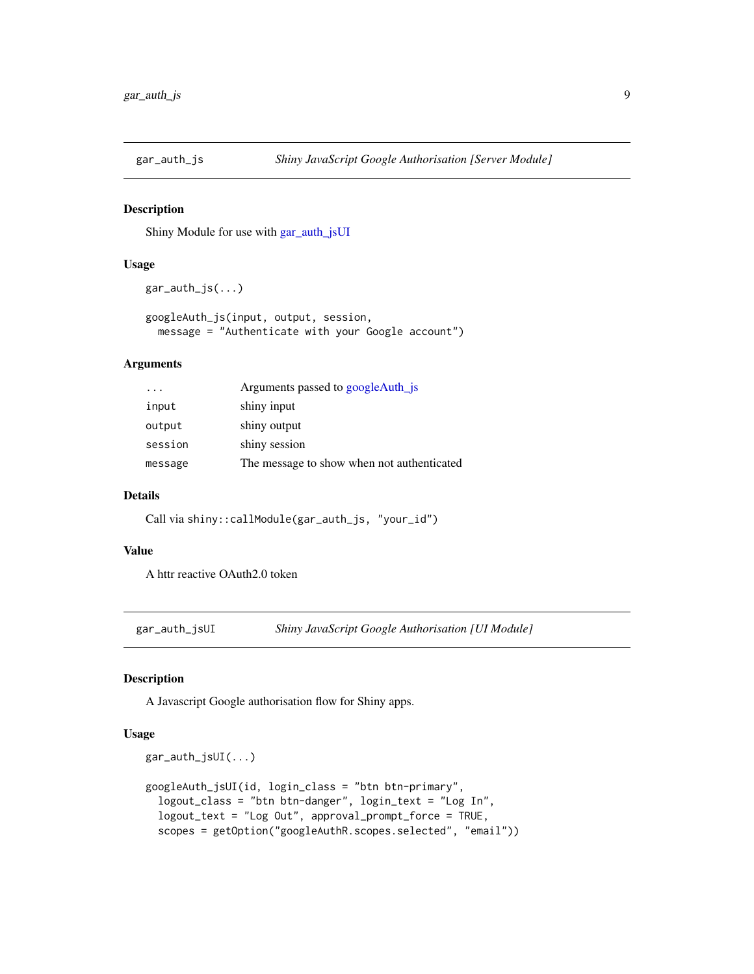<span id="page-8-4"></span><span id="page-8-2"></span><span id="page-8-0"></span>

Shiny Module for use with [gar\\_auth\\_jsUI](#page-8-1)

## Usage

```
gar_auth_js(...)
```
googleAuth\_js(input, output, session, message = "Authenticate with your Google account")

## Arguments

| $\cdot$ $\cdot$ $\cdot$ | Arguments passed to googleAuth_js          |
|-------------------------|--------------------------------------------|
| input                   | shiny input                                |
| output                  | shiny output                               |
| session                 | shiny session                              |
| message                 | The message to show when not authenticated |

#### Details

Call via shiny::callModule(gar\_auth\_js, "your\_id")

## Value

A httr reactive OAuth2.0 token

<span id="page-8-1"></span>gar\_auth\_jsUI *Shiny JavaScript Google Authorisation [UI Module]*

#### <span id="page-8-3"></span>Description

A Javascript Google authorisation flow for Shiny apps.

## Usage

```
gar_auth_jsUI(...)
googleAuth_jsUI(id, login_class = "btn btn-primary",
  logout_class = "btn btn-danger", login_text = "Log In",
  logout_text = "Log Out", approval_prompt_force = TRUE,
  scopes = getOption("googleAuthR.scopes.selected", "email"))
```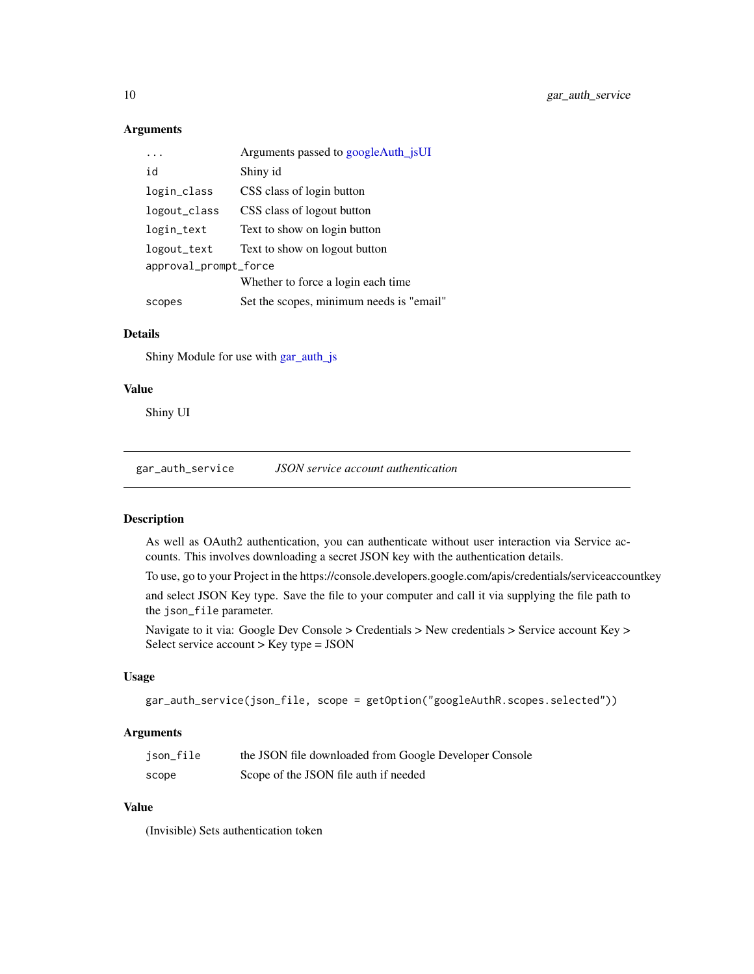## Arguments

|                       | Arguments passed to googleAuth_jsUI      |  |
|-----------------------|------------------------------------------|--|
| id                    | Shiny id                                 |  |
| login_class           | CSS class of login button                |  |
| logout_class          | CSS class of logout button               |  |
| login_text            | Text to show on login button             |  |
| logout_text           | Text to show on logout button            |  |
| approval_prompt_force |                                          |  |
|                       | Whether to force a login each time.      |  |
| scopes                | Set the scopes, minimum needs is "email" |  |

## Details

Shiny Module for use with [gar\\_auth\\_js](#page-8-4)

#### Value

Shiny UI

<span id="page-9-1"></span>gar\_auth\_service *JSON service account authentication*

## Description

As well as OAuth2 authentication, you can authenticate without user interaction via Service accounts. This involves downloading a secret JSON key with the authentication details.

To use, go to your Project in the https://console.developers.google.com/apis/credentials/serviceaccountkey

and select JSON Key type. Save the file to your computer and call it via supplying the file path to the json\_file parameter.

Navigate to it via: Google Dev Console > Credentials > New credentials > Service account Key > Select service account > Key type = JSON

## Usage

```
gar_auth_service(json_file, scope = getOption("googleAuthR.scopes.selected"))
```
#### Arguments

| json_file | the JSON file downloaded from Google Developer Console |
|-----------|--------------------------------------------------------|
| scope     | Scope of the JSON file auth if needed                  |

#### Value

(Invisible) Sets authentication token

<span id="page-9-0"></span>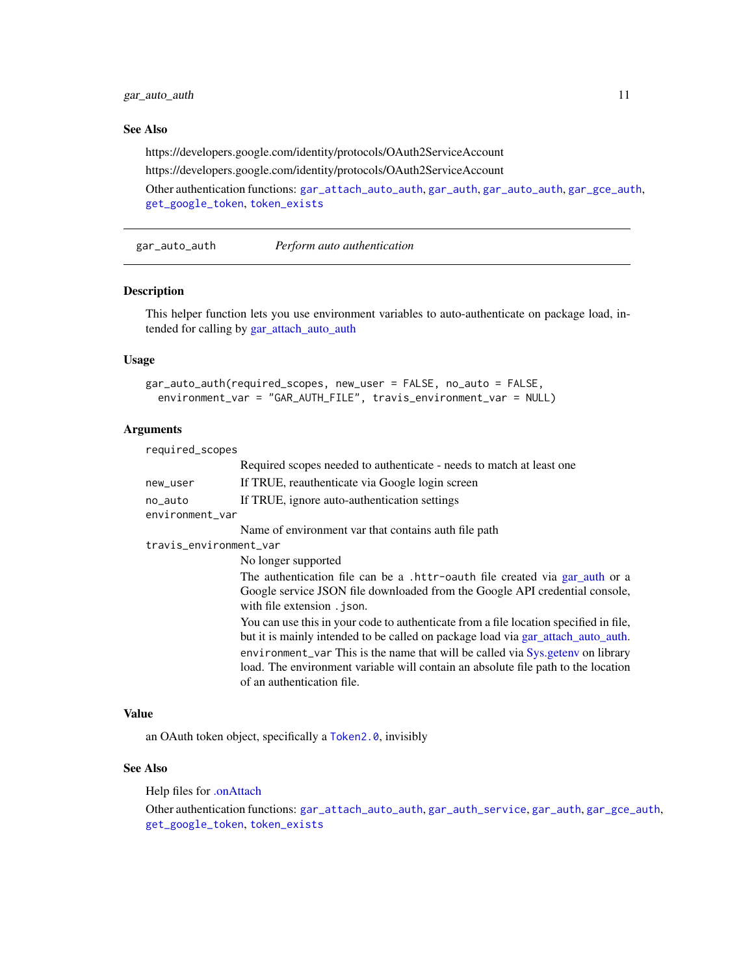<span id="page-10-0"></span>gar\_auto\_auth 11

## See Also

https://developers.google.com/identity/protocols/OAuth2ServiceAccount

https://developers.google.com/identity/protocols/OAuth2ServiceAccount

Other authentication functions: [gar\\_attach\\_auto\\_auth](#page-5-1), [gar\\_auth](#page-6-1), [gar\\_auto\\_auth](#page-10-1), [gar\\_gce\\_auth](#page-19-1), [get\\_google\\_token](#page-0-0), [token\\_exists](#page-0-0)

<span id="page-10-1"></span>gar\_auto\_auth *Perform auto authentication*

## Description

This helper function lets you use environment variables to auto-authenticate on package load, intended for calling by [gar\\_attach\\_auto\\_auth](#page-5-1)

## Usage

```
gar_auto_auth(required_scopes, new_user = FALSE, no_auto = FALSE,
  environment_var = "GAR_AUTH_FILE", travis_environment_var = NULL)
```
#### Arguments

| required_scopes            |                                                                                                                                                                                                                                                                                                                                                                                |
|----------------------------|--------------------------------------------------------------------------------------------------------------------------------------------------------------------------------------------------------------------------------------------------------------------------------------------------------------------------------------------------------------------------------|
|                            | Required scopes needed to authenticate - needs to match at least one                                                                                                                                                                                                                                                                                                           |
| new_user                   | If TRUE, reauthenticate via Google login screen                                                                                                                                                                                                                                                                                                                                |
| no_auto<br>environment_var | If TRUE, ignore auto-authentication settings                                                                                                                                                                                                                                                                                                                                   |
|                            | Name of environment var that contains auth file path                                                                                                                                                                                                                                                                                                                           |
| travis_environment_var     |                                                                                                                                                                                                                                                                                                                                                                                |
|                            | No longer supported                                                                                                                                                                                                                                                                                                                                                            |
|                            | The authentication file can be a .httr-oauth file created via gar_auth or a<br>Google service JSON file downloaded from the Google API credential console,<br>with file extension . ison.                                                                                                                                                                                      |
|                            | You can use this in your code to authenticate from a file location specified in file,<br>but it is mainly intended to be called on package load via gar_attach_auto_auth.<br>environment_var This is the name that will be called via Sys.getenv on library<br>load. The environment variable will contain an absolute file path to the location<br>of an authentication file. |

#### Value

an OAuth token object, specifically a [Token2.0](#page-0-0), invisibly

#### See Also

Help files for [.onAttach](#page-0-0)

Other authentication functions: [gar\\_attach\\_auto\\_auth](#page-5-1), [gar\\_auth\\_service](#page-9-1), [gar\\_auth](#page-6-1), [gar\\_gce\\_auth](#page-19-1), [get\\_google\\_token](#page-0-0), [token\\_exists](#page-0-0)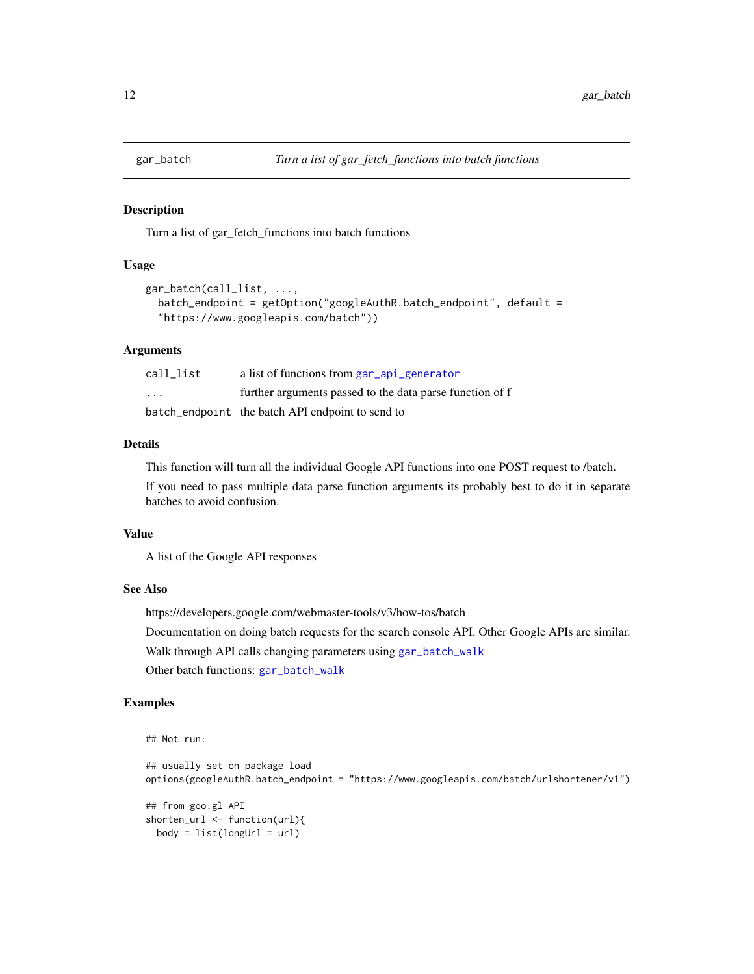<span id="page-11-1"></span><span id="page-11-0"></span>

Turn a list of gar\_fetch\_functions into batch functions

#### Usage

```
gar_batch(call_list, ...,
 batch_endpoint = getOption("googleAuthR.batch_endpoint", default =
  "https://www.googleapis.com/batch"))
```
#### Arguments

| call list               | a list of functions from gar_api_generator               |
|-------------------------|----------------------------------------------------------|
| $\cdot$ $\cdot$ $\cdot$ | further arguments passed to the data parse function of f |
|                         | batch_endpoint the batch API endpoint to send to         |

#### Details

This function will turn all the individual Google API functions into one POST request to /batch.

If you need to pass multiple data parse function arguments its probably best to do it in separate batches to avoid confusion.

#### Value

A list of the Google API responses

## See Also

https://developers.google.com/webmaster-tools/v3/how-tos/batch Documentation on doing batch requests for the search console API. Other Google APIs are similar. Walk through API calls changing parameters using [gar\\_batch\\_walk](#page-12-1) Other batch functions: [gar\\_batch\\_walk](#page-12-1)

## Examples

```
## Not run:
## usually set on package load
options(googleAuthR.batch_endpoint = "https://www.googleapis.com/batch/urlshortener/v1")
## from goo.gl API
shorten_url <- function(url){
 body = list(longUn1 = url)
```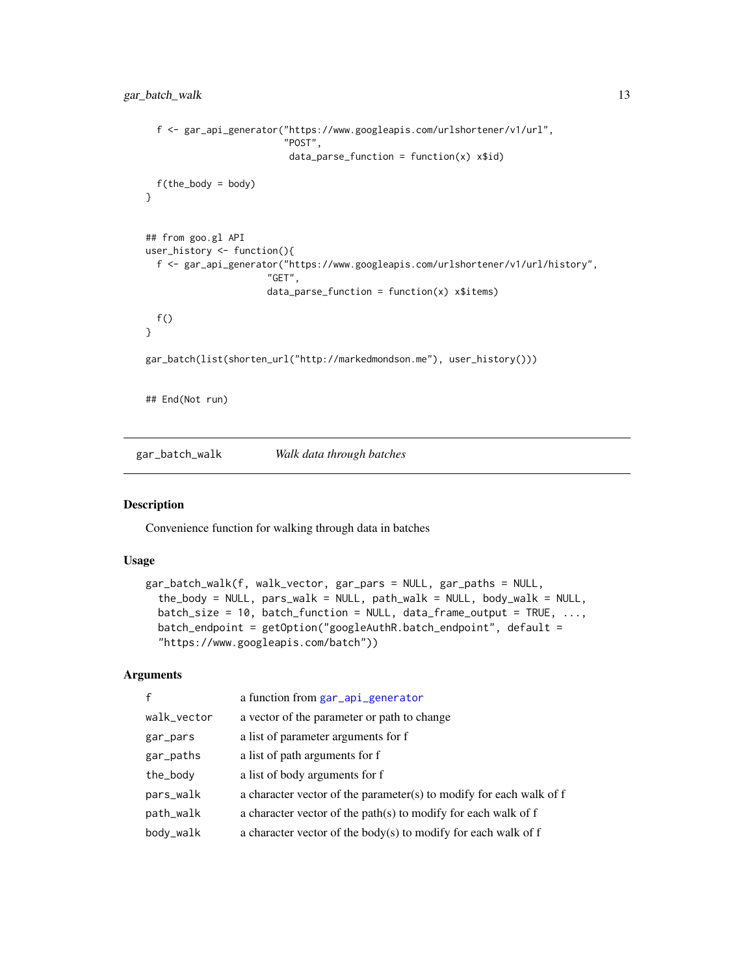```
f <- gar_api_generator("https://www.googleapis.com/urlshortener/v1/url",
                         "POST",
                          data\_parse\_function = function(x) x$id)
  f(the_body = body)
}
## from goo.gl API
user_history <- function(){
  f <- gar_api_generator("https://www.googleapis.com/urlshortener/v1/url/history",
                      "GET",
                      data\_parse\_function = function(x) x$items)f()}
gar_batch(list(shorten_url("http://markedmondson.me"), user_history()))
## End(Not run)
```
<span id="page-12-1"></span>gar\_batch\_walk *Walk data through batches*

#### Description

Convenience function for walking through data in batches

## Usage

```
gar_batch_walk(f, walk_vector, gar_pars = NULL, gar_paths = NULL,
  the_body = NULL, pars_walk = NULL, path_walk = NULL, body_walk = NULL,
 batch_size = 10, batch_function = NULL, data_frame_output = TRUE, \dots,
 batch_endpoint = getOption("googleAuthR.batch_endpoint", default =
  "https://www.googleapis.com/batch"))
```
#### Arguments

| $\mathbf{f}$ | a function from gar_api_generator                                   |
|--------------|---------------------------------------------------------------------|
| walk_vector  | a vector of the parameter or path to change                         |
| gar_pars     | a list of parameter arguments for f                                 |
| gar_paths    | a list of path arguments for f                                      |
| the_body     | a list of body arguments for f                                      |
| pars_walk    | a character vector of the parameter(s) to modify for each walk of f |
| path_walk    | a character vector of the path $(s)$ to modify for each walk of f   |
| body_walk    | a character vector of the body(s) to modify for each walk of $f$    |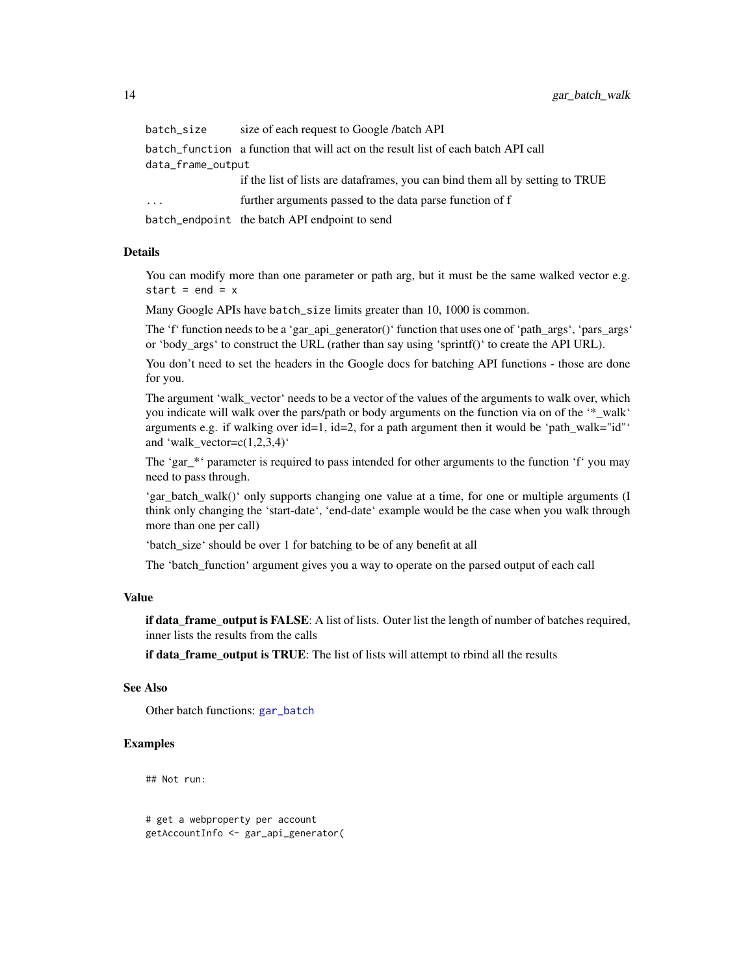<span id="page-13-0"></span>

| batch_size        | size of each request to Google /batch API                                         |  |
|-------------------|-----------------------------------------------------------------------------------|--|
|                   | batch function a function that will act on the result list of each batch API call |  |
| data_frame_output |                                                                                   |  |
|                   | if the list of lists are dataframes, you can bind them all by setting to TRUE     |  |
| $\cdot$           | further arguments passed to the data parse function of f                          |  |
|                   | batch_endpoint the batch API endpoint to send                                     |  |

#### Details

You can modify more than one parameter or path arg, but it must be the same walked vector e.g. start =  $end = x$ 

Many Google APIs have batch\_size limits greater than 10, 1000 is common.

The 'f' function needs to be a 'gar\_api\_generator()' function that uses one of 'path\_args', 'pars\_args' or 'body\_args' to construct the URL (rather than say using 'sprintf()' to create the API URL).

You don't need to set the headers in the Google docs for batching API functions - those are done for you.

The argument 'walk\_vector' needs to be a vector of the values of the arguments to walk over, which you indicate will walk over the pars/path or body arguments on the function via on of the '\*\_walk' arguments e.g. if walking over  $id=1$ ,  $id=2$ , for a path argument then it would be 'path walk="id"' and 'walk\_vector= $c(1,2,3,4)$ '

The 'gar\_\*' parameter is required to pass intended for other arguments to the function 'f' you may need to pass through.

'gar\_batch\_walk()' only supports changing one value at a time, for one or multiple arguments (I) think only changing the 'start-date', 'end-date' example would be the case when you walk through more than one per call)

'batch\_size' should be over 1 for batching to be of any benefit at all

The 'batch\_function' argument gives you a way to operate on the parsed output of each call

#### Value

if data\_frame\_output is FALSE: A list of lists. Outer list the length of number of batches required, inner lists the results from the calls

if data\_frame\_output is TRUE: The list of lists will attempt to rbind all the results

#### See Also

Other batch functions: [gar\\_batch](#page-11-1)

#### Examples

## Not run:

# get a webproperty per account getAccountInfo <- gar\_api\_generator(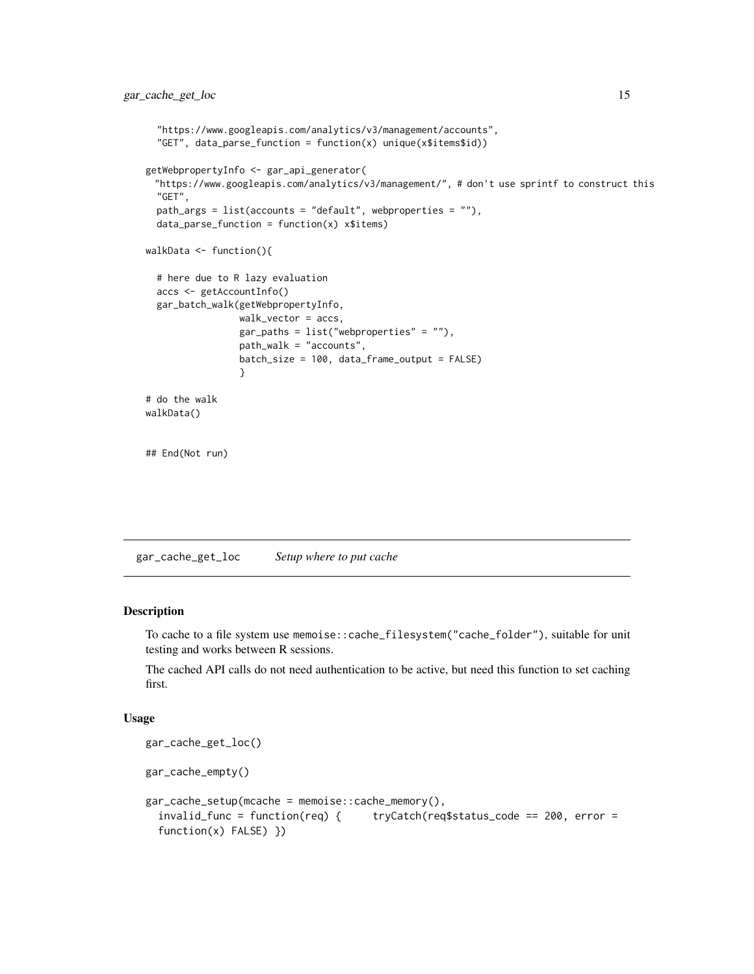```
"https://www.googleapis.com/analytics/v3/management/accounts",
  "GET", data_parse_function = function(x) unique(x$items$id))
getWebpropertyInfo <- gar_api_generator(
 "https://www.googleapis.com/analytics/v3/management/", # don't use sprintf to construct this
 "GET",
 path_args = list(accounts = "default", webproperties = ""),
 data_parse_function = function(x) x$items)
walkData <- function(){
 # here due to R lazy evaluation
 accs <- getAccountInfo()
 gar_batch_walk(getWebpropertyInfo,
                 walk_vector = accs,
                 gar_paths = list("webproperties" = ""),
                 path_walk = "accounts",
                 batch_size = 100, data_frame_output = FALSE)
                 }
# do the walk
walkData()
## End(Not run)
```
gar\_cache\_get\_loc *Setup where to put cache*

## Description

To cache to a file system use memoise::cache\_filesystem("cache\_folder"), suitable for unit testing and works between R sessions.

The cached API calls do not need authentication to be active, but need this function to set caching first.

#### Usage

```
gar_cache_get_loc()
gar_cache_empty()
gar_cache_setup(mcache = memoise::cache_memory(),
  invalid_func = function(req) { tryCatch(req$status_code == 200, error =
  function(x) FALSE) })
```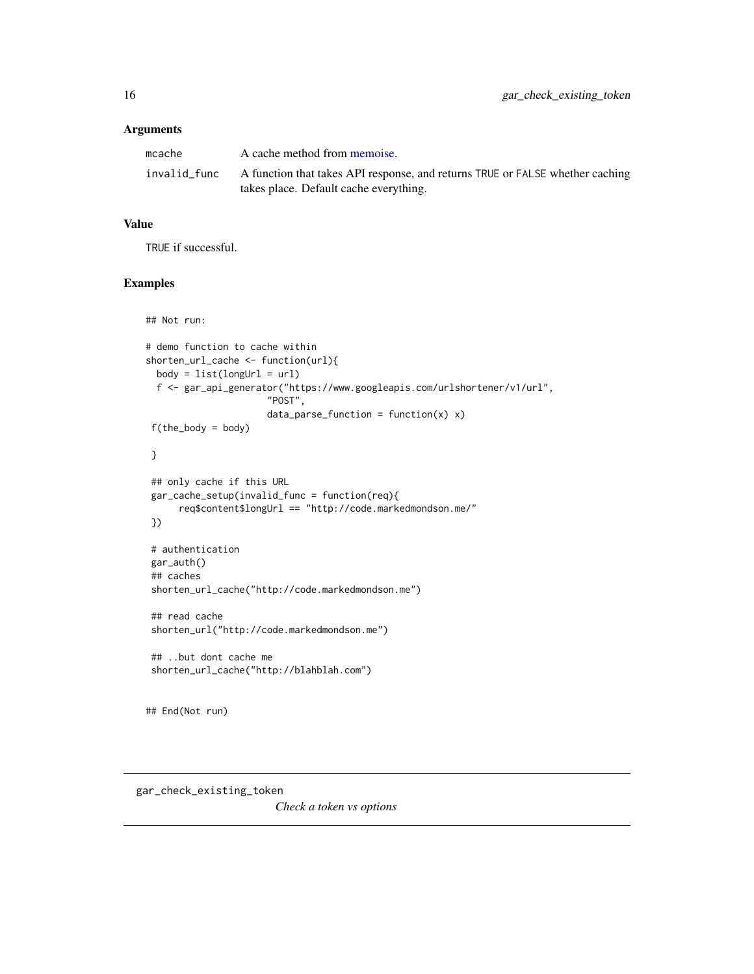## <span id="page-15-0"></span>Arguments

| mcache       | A cache method from memoise.                                                                                            |
|--------------|-------------------------------------------------------------------------------------------------------------------------|
| invalid func | A function that takes API response, and returns TRUE or FALSE whether caching<br>takes place. Default cache everything. |

## Value

TRUE if successful.

## Examples

```
## Not run:
# demo function to cache within
shorten_url_cache <- function(url){
 body = list(longUn1 = url)f <- gar_api_generator("https://www.googleapis.com/urlshortener/v1/url",
                      "POST",
                      data\_parse\_function = function(x) x)f(the_body = body)
}
## only cache if this URL
gar_cache_setup(invalid_func = function(req){
     req$content$longUrl == "http://code.markedmondson.me/"
})
# authentication
gar_auth()
## caches
shorten_url_cache("http://code.markedmondson.me")
## read cache
shorten_url("http://code.markedmondson.me")
## ..but dont cache me
shorten_url_cache("http://blahblah.com")
## End(Not run)
```
*Check a token vs options*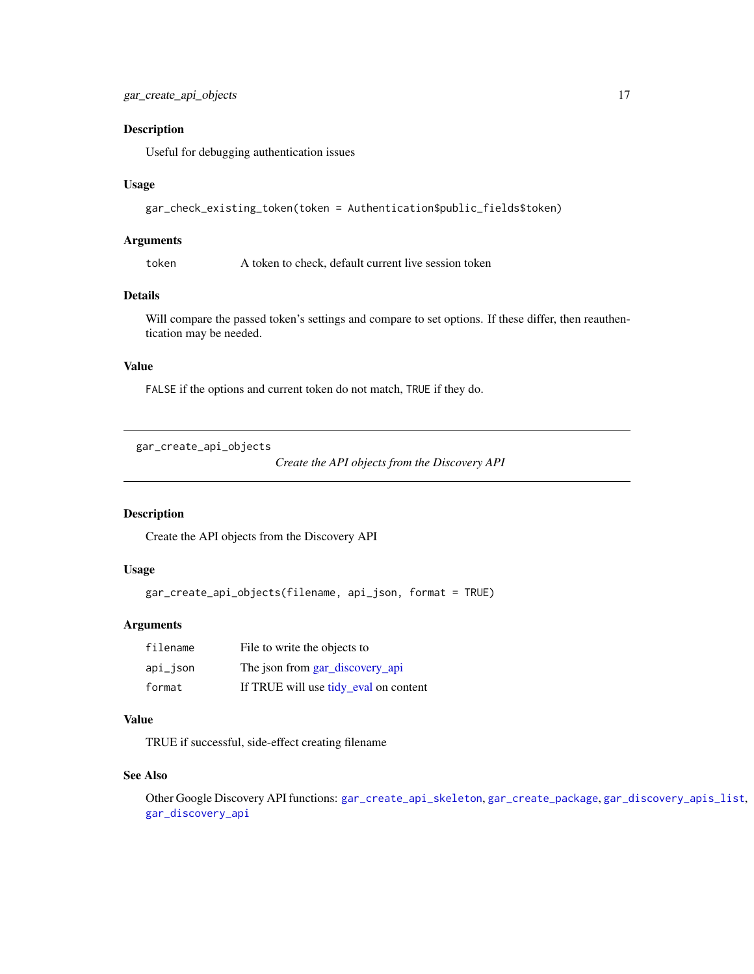<span id="page-16-0"></span>Useful for debugging authentication issues

#### Usage

```
gar_check_existing_token(token = Authentication$public_fields$token)
```
#### Arguments

token A token to check, default current live session token

## Details

Will compare the passed token's settings and compare to set options. If these differ, then reauthentication may be needed.

## Value

FALSE if the options and current token do not match, TRUE if they do.

<span id="page-16-1"></span>gar\_create\_api\_objects

*Create the API objects from the Discovery API*

## Description

Create the API objects from the Discovery API

## Usage

gar\_create\_api\_objects(filename, api\_json, format = TRUE)

#### Arguments

| filename | File to write the objects to          |
|----------|---------------------------------------|
| api_json | The json from gar_discovery_api       |
| format   | If TRUE will use tidy_eval on content |

#### Value

TRUE if successful, side-effect creating filename

#### See Also

Other Google Discovery API functions: [gar\\_create\\_api\\_skeleton](#page-17-1), [gar\\_create\\_package](#page-17-2), [gar\\_discovery\\_apis\\_list](#page-19-2), [gar\\_discovery\\_api](#page-18-1)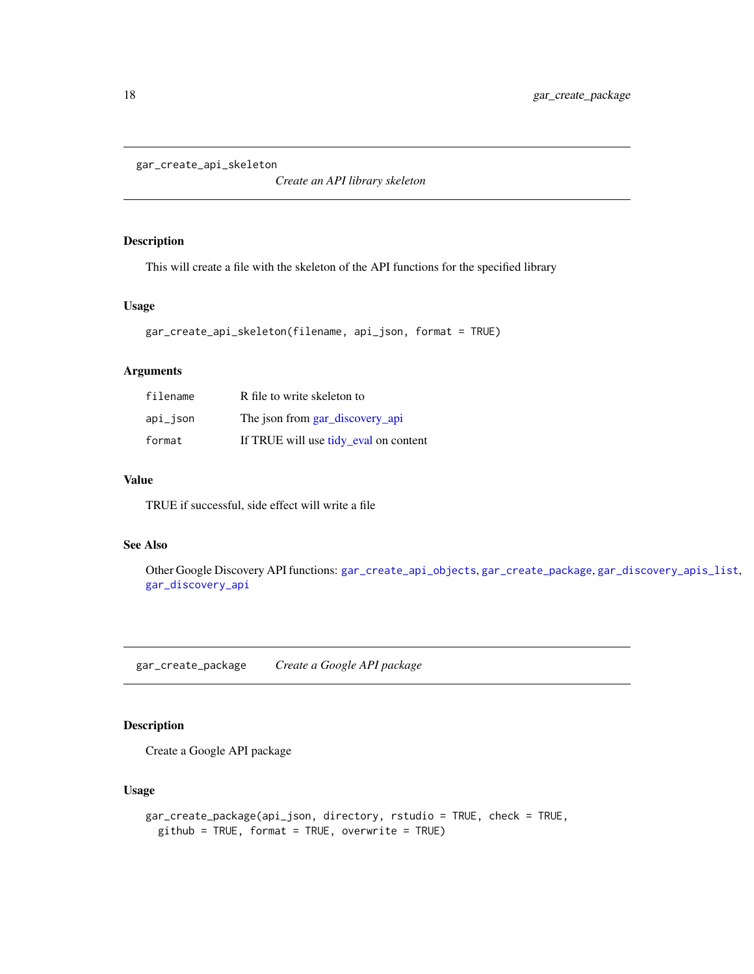```
gar_create_api_skeleton
```
*Create an API library skeleton*

## Description

This will create a file with the skeleton of the API functions for the specified library

## Usage

```
gar_create_api_skeleton(filename, api_json, format = TRUE)
```
## Arguments

| filename | R file to write skeleton to           |
|----------|---------------------------------------|
| api_json | The json from gar_discovery_api       |
| format   | If TRUE will use tidy eval on content |

## Value

TRUE if successful, side effect will write a file

## See Also

Other Google Discovery API functions: [gar\\_create\\_api\\_objects](#page-16-1), [gar\\_create\\_package](#page-17-2), [gar\\_discovery\\_apis\\_list](#page-19-2), [gar\\_discovery\\_api](#page-18-1)

<span id="page-17-2"></span>gar\_create\_package *Create a Google API package*

## Description

Create a Google API package

## Usage

```
gar_create_package(api_json, directory, rstudio = TRUE, check = TRUE,
 github = TRUE, format = TRUE, overwrite = TRUE)
```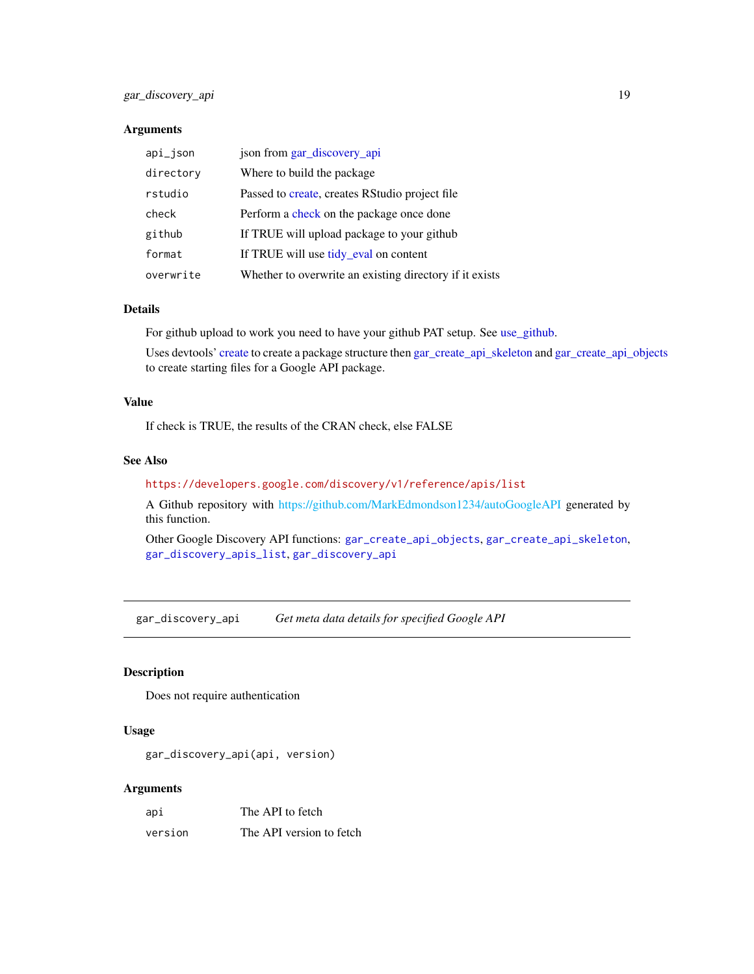## <span id="page-18-0"></span>Arguments

| api_json  | json from gar_discovery_api                             |
|-----------|---------------------------------------------------------|
| directory | Where to build the package.                             |
| rstudio   | Passed to create, creates RStudio project file          |
| check     | Perform a check on the package once done                |
| github    | If TRUE will upload package to your github              |
| format    | If TRUE will use tidy_eval on content                   |
| overwrite | Whether to overwrite an existing directory if it exists |

## Details

For github upload to work you need to have your github PAT setup. See [use\\_github.](#page-0-0)

Uses devtools' [create](#page-0-0) to create a package structure then [gar\\_create\\_api\\_skeleton](#page-17-1) and [gar\\_create\\_api\\_objects](#page-16-1) to create starting files for a Google API package.

## Value

If check is TRUE, the results of the CRAN check, else FALSE

## See Also

<https://developers.google.com/discovery/v1/reference/apis/list>

A Github repository with [https://github.com/MarkEdmondson1234/autoGoogleAPI](#page-0-0) generated by this function.

Other Google Discovery API functions: [gar\\_create\\_api\\_objects](#page-16-1), [gar\\_create\\_api\\_skeleton](#page-17-1), [gar\\_discovery\\_apis\\_list](#page-19-2), [gar\\_discovery\\_api](#page-18-1)

<span id="page-18-1"></span>gar\_discovery\_api *Get meta data details for specified Google API*

#### Description

Does not require authentication

## Usage

gar\_discovery\_api(api, version)

#### Arguments

| api     | The API to fetch         |
|---------|--------------------------|
| version | The API version to fetch |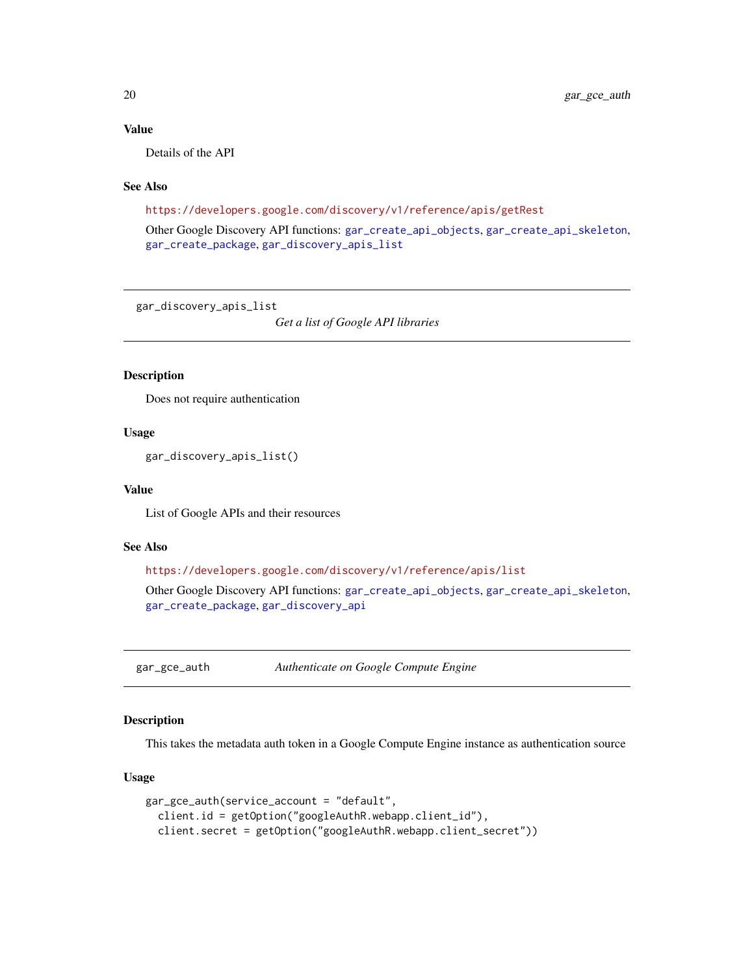## <span id="page-19-0"></span>Value

Details of the API

## See Also

<https://developers.google.com/discovery/v1/reference/apis/getRest>

Other Google Discovery API functions: [gar\\_create\\_api\\_objects](#page-16-1), [gar\\_create\\_api\\_skeleton](#page-17-1), [gar\\_create\\_package](#page-17-2), [gar\\_discovery\\_apis\\_list](#page-19-2)

<span id="page-19-2"></span>gar\_discovery\_apis\_list

*Get a list of Google API libraries*

## Description

Does not require authentication

## Usage

gar\_discovery\_apis\_list()

#### Value

List of Google APIs and their resources

#### See Also

```
https://developers.google.com/discovery/v1/reference/apis/list
Other Google Discovery API functions: gar_create_api_objects, gar_create_api_skeleton,
gar_create_package, gar_discovery_api
```
<span id="page-19-1"></span>gar\_gce\_auth *Authenticate on Google Compute Engine*

## **Description**

This takes the metadata auth token in a Google Compute Engine instance as authentication source

## Usage

```
gar_gce_auth(service_account = "default",
  client.id = getOption("googleAuthR.webapp.client_id"),
  client.secret = getOption("googleAuthR.webapp.client_secret"))
```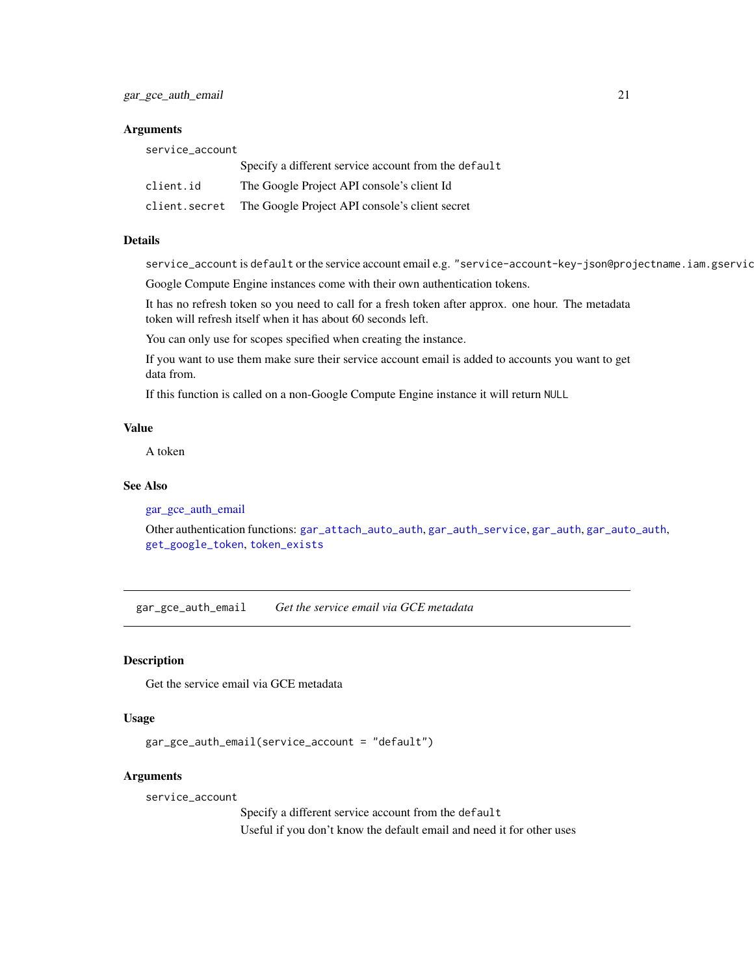#### <span id="page-20-0"></span>**Arguments**

| service_account |                                                      |
|-----------------|------------------------------------------------------|
|                 | Specify a different service account from the default |
| client.id       | The Google Project API console's client Id           |
| client.secret   | The Google Project API console's client secret       |

#### Details

service\_account is default or the service account email e.g. "service-account-key-json@projectname.iam.gservic

Google Compute Engine instances come with their own authentication tokens.

It has no refresh token so you need to call for a fresh token after approx. one hour. The metadata token will refresh itself when it has about 60 seconds left.

You can only use for scopes specified when creating the instance.

If you want to use them make sure their service account email is added to accounts you want to get data from.

If this function is called on a non-Google Compute Engine instance it will return NULL

## Value

A token

## See Also

[gar\\_gce\\_auth\\_email](#page-20-1)

Other authentication functions: [gar\\_attach\\_auto\\_auth](#page-5-1), [gar\\_auth\\_service](#page-9-1), [gar\\_auth](#page-6-1), [gar\\_auto\\_auth](#page-10-1), [get\\_google\\_token](#page-0-0), [token\\_exists](#page-0-0)

<span id="page-20-1"></span>gar\_gce\_auth\_email *Get the service email via GCE metadata*

#### Description

Get the service email via GCE metadata

#### Usage

gar\_gce\_auth\_email(service\_account = "default")

#### Arguments

service\_account

Specify a different service account from the default Useful if you don't know the default email and need it for other uses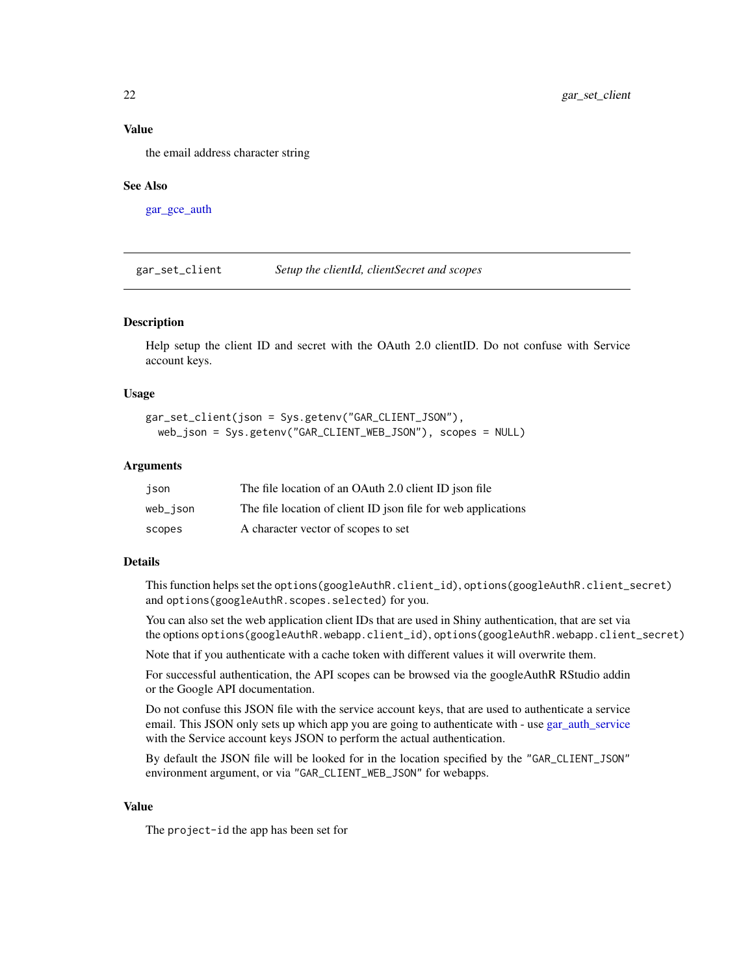## Value

the email address character string

#### See Also

[gar\\_gce\\_auth](#page-19-1)

gar\_set\_client *Setup the clientId, clientSecret and scopes*

#### Description

Help setup the client ID and secret with the OAuth 2.0 clientID. Do not confuse with Service account keys.

#### Usage

```
gar_set_client(json = Sys.getenv("GAR_CLIENT_JSON"),
 web_json = Sys.getenv("GAR_CLIENT_WEB_JSON"), scopes = NULL)
```
## Arguments

| ison     | The file location of an OAuth 2.0 client ID ison file         |
|----------|---------------------------------------------------------------|
| web_json | The file location of client ID json file for web applications |
| scopes   | A character vector of scopes to set                           |

## Details

This function helps set the options(googleAuthR.client\_id), options(googleAuthR.client\_secret) and options(googleAuthR.scopes.selected) for you.

You can also set the web application client IDs that are used in Shiny authentication, that are set via the options options(googleAuthR.webapp.client\_id), options(googleAuthR.webapp.client\_secret)

Note that if you authenticate with a cache token with different values it will overwrite them.

For successful authentication, the API scopes can be browsed via the googleAuthR RStudio addin or the Google API documentation.

Do not confuse this JSON file with the service account keys, that are used to authenticate a service email. This JSON only sets up which app you are going to authenticate with - use [gar\\_auth\\_service](#page-9-1) with the Service account keys JSON to perform the actual authentication.

By default the JSON file will be looked for in the location specified by the "GAR\_CLIENT\_JSON" environment argument, or via "GAR\_CLIENT\_WEB\_JSON" for webapps.

## Value

The project-id the app has been set for

<span id="page-21-0"></span>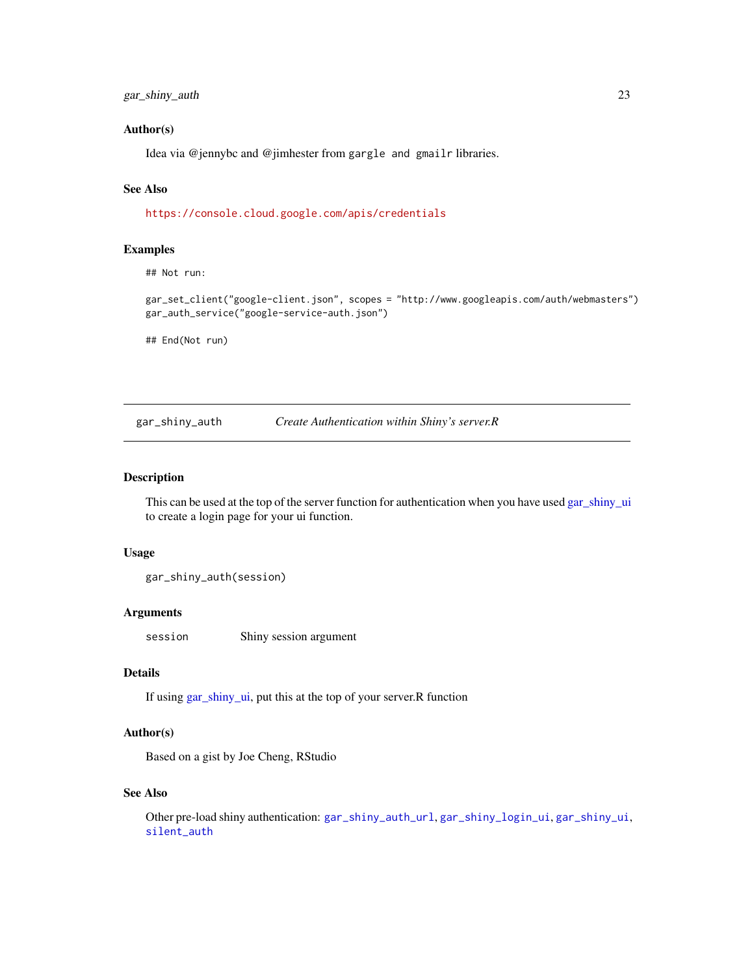<span id="page-22-0"></span>gar\_shiny\_auth 23

#### Author(s)

Idea via @jennybc and @jimhester from gargle and gmailr libraries.

## See Also

<https://console.cloud.google.com/apis/credentials>

## Examples

## Not run:

gar\_set\_client("google-client.json", scopes = "http://www.googleapis.com/auth/webmasters") gar\_auth\_service("google-service-auth.json")

## End(Not run)

<span id="page-22-1"></span>gar\_shiny\_auth *Create Authentication within Shiny's server.R*

#### Description

This can be used at the top of the server function for authentication when you have used [gar\\_shiny\\_ui](#page-25-1) to create a login page for your ui function.

#### Usage

gar\_shiny\_auth(session)

#### Arguments

session Shiny session argument

## Details

If using [gar\\_shiny\\_ui,](#page-25-1) put this at the top of your server.R function

#### Author(s)

Based on a gist by Joe Cheng, RStudio

## See Also

Other pre-load shiny authentication: [gar\\_shiny\\_auth\\_url](#page-23-1), [gar\\_shiny\\_login\\_ui](#page-24-1), [gar\\_shiny\\_ui](#page-25-1), [silent\\_auth](#page-31-1)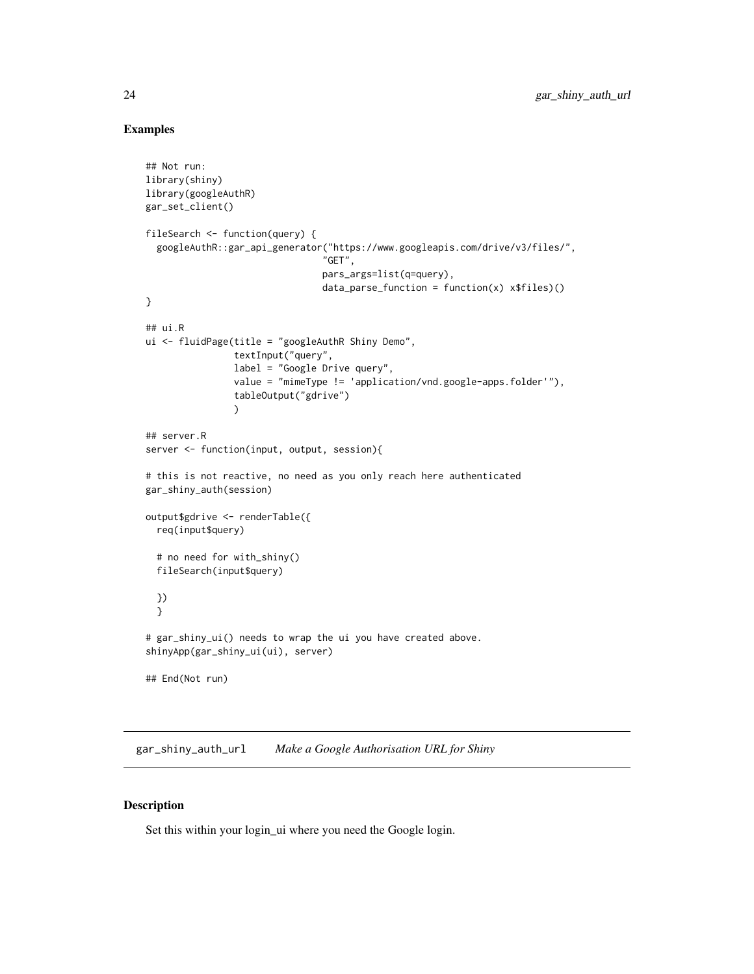## Examples

```
## Not run:
library(shiny)
library(googleAuthR)
gar_set_client()
fileSearch <- function(query) {
  googleAuthR::gar_api_generator("https://www.googleapis.com/drive/v3/files/",
                                "GET",
                                pars_args=list(q=query),
                                data\_parse\_function = function(x) x$files()}
## ui.R
ui <- fluidPage(title = "googleAuthR Shiny Demo",
                textInput("query",
                label = "Google Drive query",
                value = "mimeType != 'application/vnd.google-apps.folder'"),
                tableOutput("gdrive")
                )
## server.R
server <- function(input, output, session){
# this is not reactive, no need as you only reach here authenticated
gar_shiny_auth(session)
output$gdrive <- renderTable({
  req(input$query)
  # no need for with_shiny()
  fileSearch(input$query)
  })
  }
# gar_shiny_ui() needs to wrap the ui you have created above.
shinyApp(gar_shiny_ui(ui), server)
## End(Not run)
```
<span id="page-23-1"></span>gar\_shiny\_auth\_url *Make a Google Authorisation URL for Shiny*

## Description

Set this within your login\_ui where you need the Google login.

<span id="page-23-0"></span>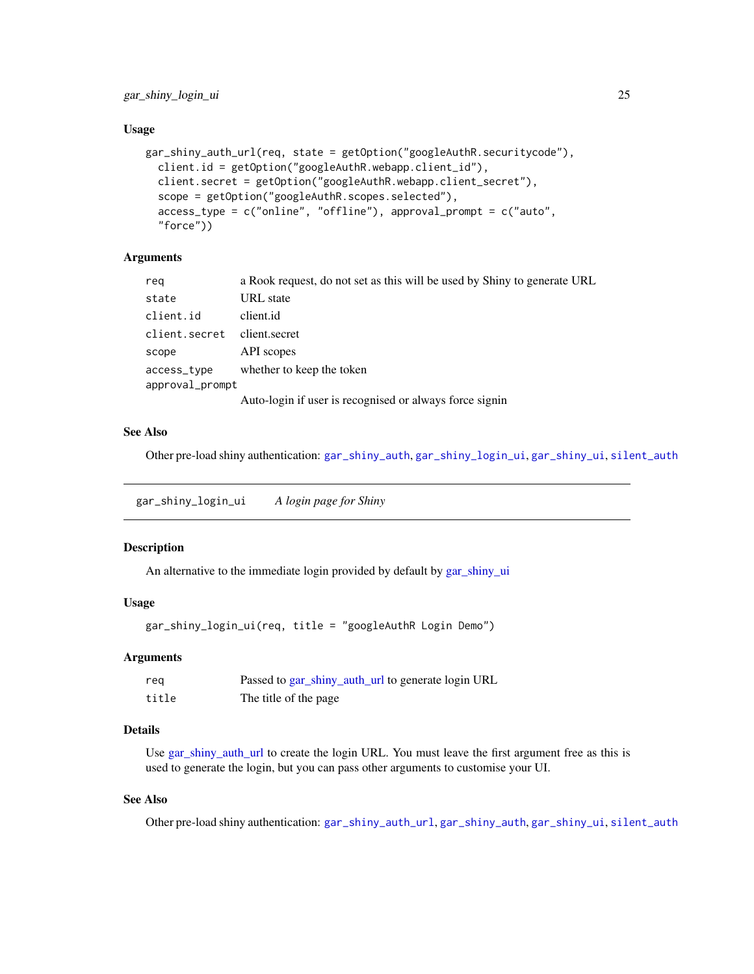<span id="page-24-0"></span>gar\_shiny\_login\_ui 25

#### Usage

```
gar_shiny_auth_url(req, state = getOption("googleAuthR.securitycode"),
 client.id = getOption("googleAuthR.webapp.client_id"),
  client.secret = getOption("googleAuthR.webapp.client_secret"),
  scope = getOption("googleAuthR.scopes.selected"),
  access_type = c("online", "offline"), approval_prompt = c("auto",
  "force"))
```
## Arguments

| reg             | a Rook request, do not set as this will be used by Shiny to generate URL |
|-----------------|--------------------------------------------------------------------------|
| state           | URL state                                                                |
| client.id       | client.id                                                                |
| client.secret   | client.secret                                                            |
| scope           | API scopes                                                               |
| access_type     | whether to keep the token                                                |
| approval_prompt |                                                                          |
|                 | Auto-login if user is recognised or always force signin                  |

## See Also

Other pre-load shiny authentication: [gar\\_shiny\\_auth](#page-22-1), [gar\\_shiny\\_login\\_ui](#page-24-1), [gar\\_shiny\\_ui](#page-25-1), [silent\\_auth](#page-31-1)

<span id="page-24-1"></span>gar\_shiny\_login\_ui *A login page for Shiny*

#### Description

An alternative to the immediate login provided by default by [gar\\_shiny\\_ui](#page-25-1)

#### Usage

```
gar_shiny_login_ui(req, title = "googleAuthR Login Demo")
```
#### Arguments

| reg   | Passed to gar_shiny_auth_url to generate login URL |
|-------|----------------------------------------------------|
| title | The title of the page                              |

## Details

Use [gar\\_shiny\\_auth\\_url](#page-23-1) to create the login URL. You must leave the first argument free as this is used to generate the login, but you can pass other arguments to customise your UI.

## See Also

Other pre-load shiny authentication: [gar\\_shiny\\_auth\\_url](#page-23-1), [gar\\_shiny\\_auth](#page-22-1), [gar\\_shiny\\_ui](#page-25-1), [silent\\_auth](#page-31-1)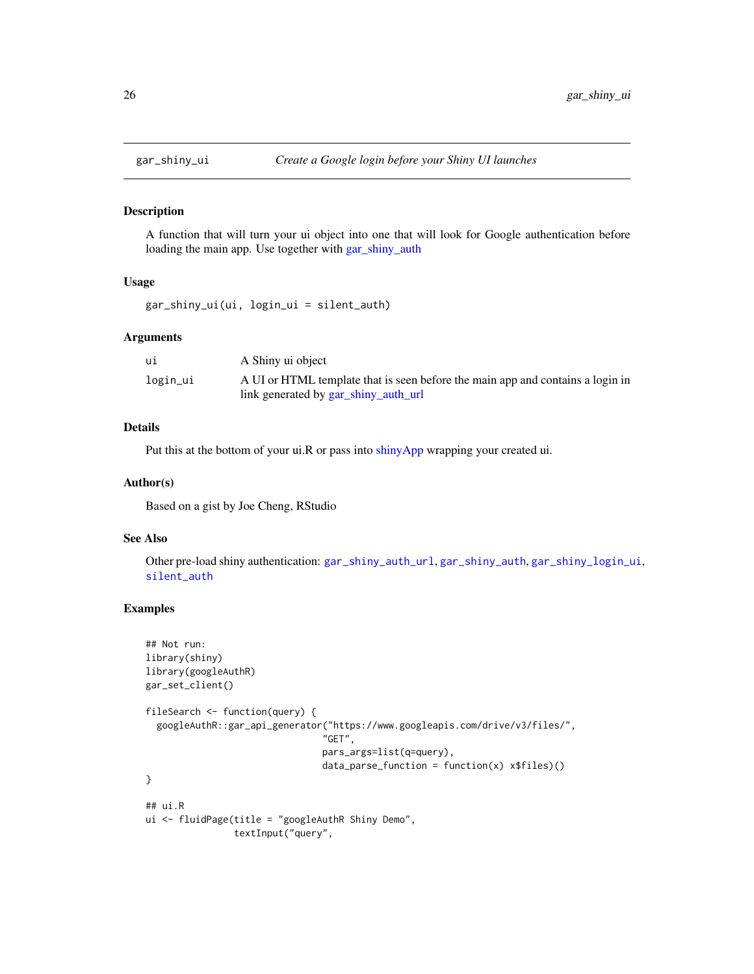<span id="page-25-1"></span><span id="page-25-0"></span>

A function that will turn your ui object into one that will look for Google authentication before loading the main app. Use together with [gar\\_shiny\\_auth](#page-22-1)

#### Usage

```
gar_shiny_ui(ui, login_ui = silent_auth)
```
## Arguments

| ui       | A Shiny ui object                                                              |
|----------|--------------------------------------------------------------------------------|
| login_ui | A UI or HTML template that is seen before the main app and contains a login in |
|          | link generated by gar_shiny_auth_url                                           |

## Details

Put this at the bottom of your ui.R or pass into [shinyApp](#page-0-0) wrapping your created ui.

#### Author(s)

Based on a gist by Joe Cheng, RStudio

#### See Also

Other pre-load shiny authentication: [gar\\_shiny\\_auth\\_url](#page-23-1), [gar\\_shiny\\_auth](#page-22-1), [gar\\_shiny\\_login\\_ui](#page-24-1), [silent\\_auth](#page-31-1)

## Examples

```
## Not run:
library(shiny)
library(googleAuthR)
gar_set_client()
fileSearch <- function(query) {
  googleAuthR::gar_api_generator("https://www.googleapis.com/drive/v3/files/",
                                "GET",
                                pars_args=list(q=query),
                                data\_parse\_function = function(x) x$files()}
## ui.R
ui <- fluidPage(title = "googleAuthR Shiny Demo",
                textInput("query",
```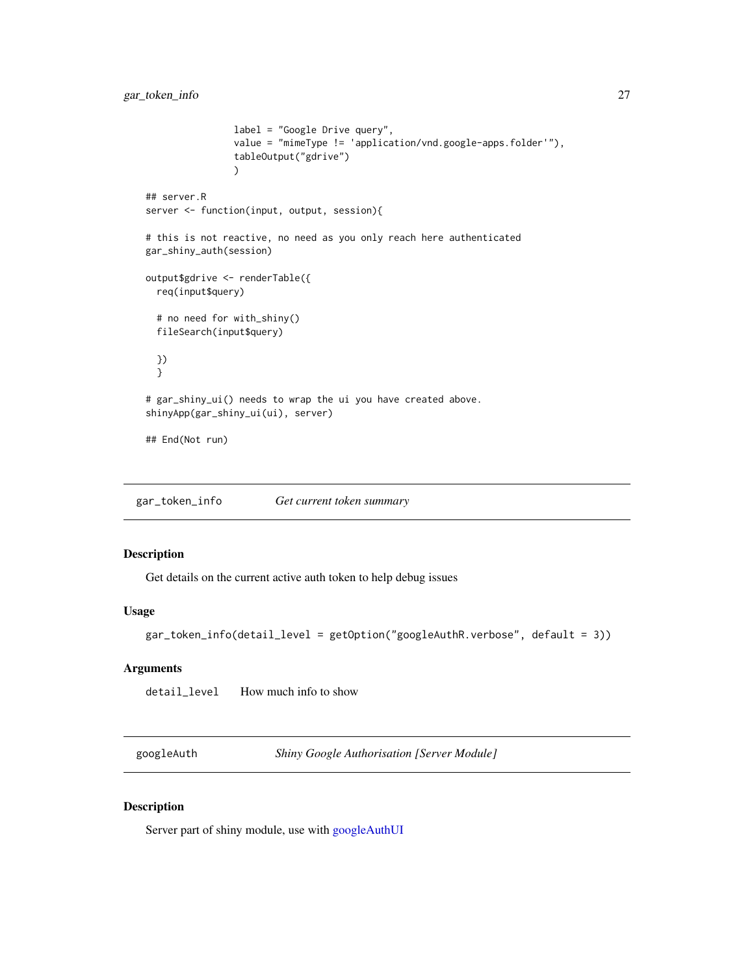```
label = "Google Drive query",
                value = "mimeType != 'application/vnd.google-apps.folder'"),
                tableOutput("gdrive")
                )
## server.R
server <- function(input, output, session){
# this is not reactive, no need as you only reach here authenticated
gar_shiny_auth(session)
output$gdrive <- renderTable({
 req(input$query)
 # no need for with_shiny()
 fileSearch(input$query)
 })
 }
# gar_shiny_ui() needs to wrap the ui you have created above.
shinyApp(gar_shiny_ui(ui), server)
## End(Not run)
```
gar\_token\_info *Get current token summary*

## Description

Get details on the current active auth token to help debug issues

## Usage

```
gar_token_info(detail_level = getOption("googleAuthR.verbose", default = 3))
```
## Arguments

detail\_level How much info to show

<span id="page-26-1"></span>googleAuth *Shiny Google Authorisation [Server Module]*

## Description

Server part of shiny module, use with [googleAuthUI](#page-29-1)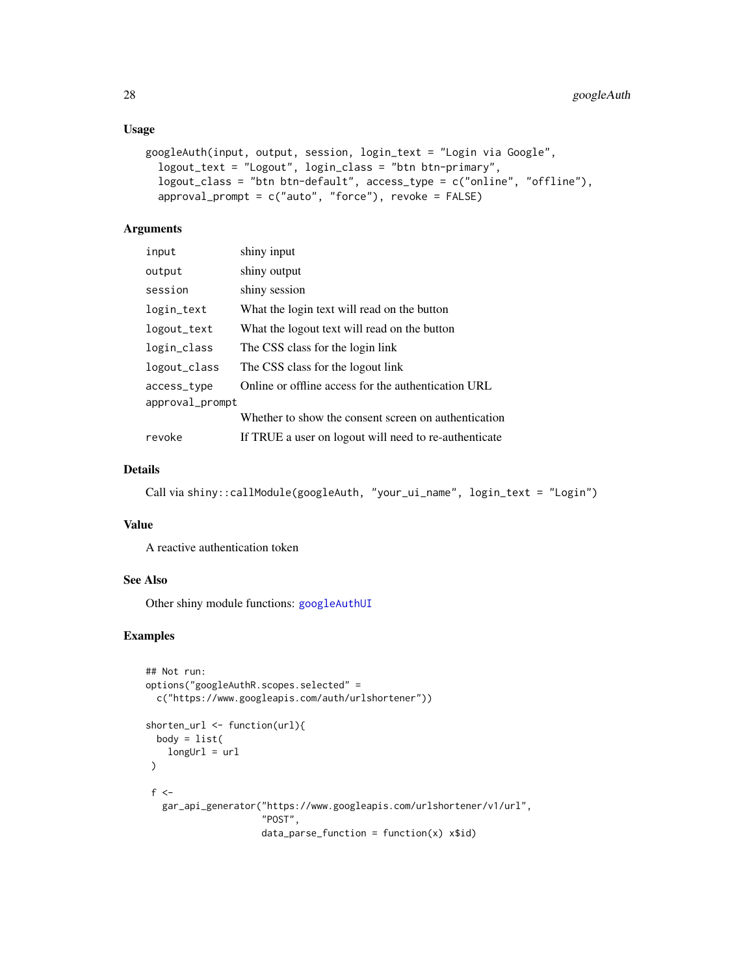#### <span id="page-27-0"></span>Usage

```
googleAuth(input, output, session, login_text = "Login via Google",
  logout_text = "Logout", login_class = "btn btn-primary",
  logout_class = "btn btn-default", access_type = c("online", "offline"),
  approval_prompt = c("auto", "force"), revoke = FALSE)
```
## Arguments

| input           | shiny input                                           |
|-----------------|-------------------------------------------------------|
| output          | shiny output                                          |
| session         | shiny session                                         |
| login_text      | What the login text will read on the button           |
| logout_text     | What the logout text will read on the button          |
| login_class     | The CSS class for the login link                      |
| logout_class    | The CSS class for the logout link                     |
| access_type     | Online or offline access for the authentication URL   |
| approval_prompt |                                                       |
|                 | Whether to show the consent screen on authentication  |
| revoke          | If TRUE a user on logout will need to re-authenticate |

## Details

```
Call via shiny::callModule(googleAuth, "your_ui_name", login_text = "Login")
```
#### Value

A reactive authentication token

## See Also

Other shiny module functions: [googleAuthUI](#page-29-1)

## Examples

```
## Not run:
options("googleAuthR.scopes.selected" =
  c("https://www.googleapis.com/auth/urlshortener"))
shorten_url <- function(url){
  body = list(longUr1 = ur1)
 f \lt-
  gar_api_generator("https://www.googleapis.com/urlshortener/v1/url",
                     "POST",
                     data_parse_function = function(x) x$id)
```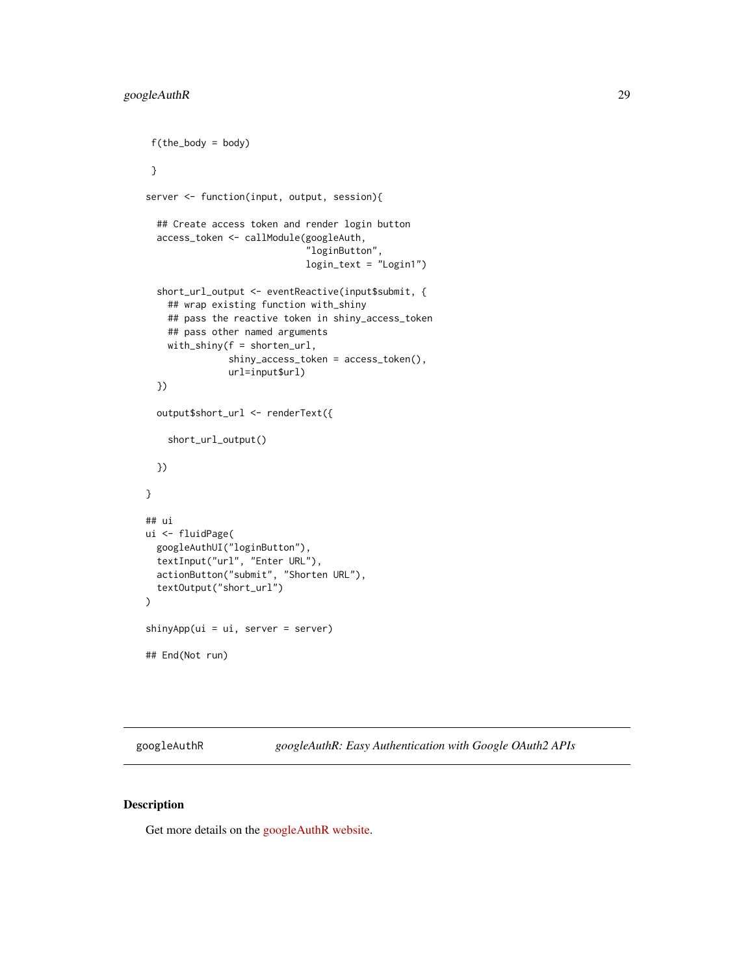```
f(the_body = body)
 }
server <- function(input, output, session){
  ## Create access token and render login button
  access_token <- callModule(googleAuth,
                              "loginButton",
                              login_text = "Login1")
  short_url_output <- eventReactive(input$submit, {
    ## wrap existing function with_shiny
    ## pass the reactive token in shiny_access_token
    ## pass other named arguments
    with_shiny(f = shorten_url,
               shiny_access_token = access_token(),
               url=input$url)
  })
  output$short_url <- renderText({
    short_url_output()
  })
}
## ui
ui <- fluidPage(
  googleAuthUI("loginButton"),
  textInput("url", "Enter URL"),
  actionButton("submit", "Shorten URL"),
  textOutput("short_url")
\overline{\phantom{a}}shinyApp(ui = ui, server = server)
## End(Not run)
```
googleAuthR *googleAuthR: Easy Authentication with Google OAuth2 APIs*

## Description

Get more details on the [googleAuthR website.](http://code.markedmondson.me/googleAuthR/)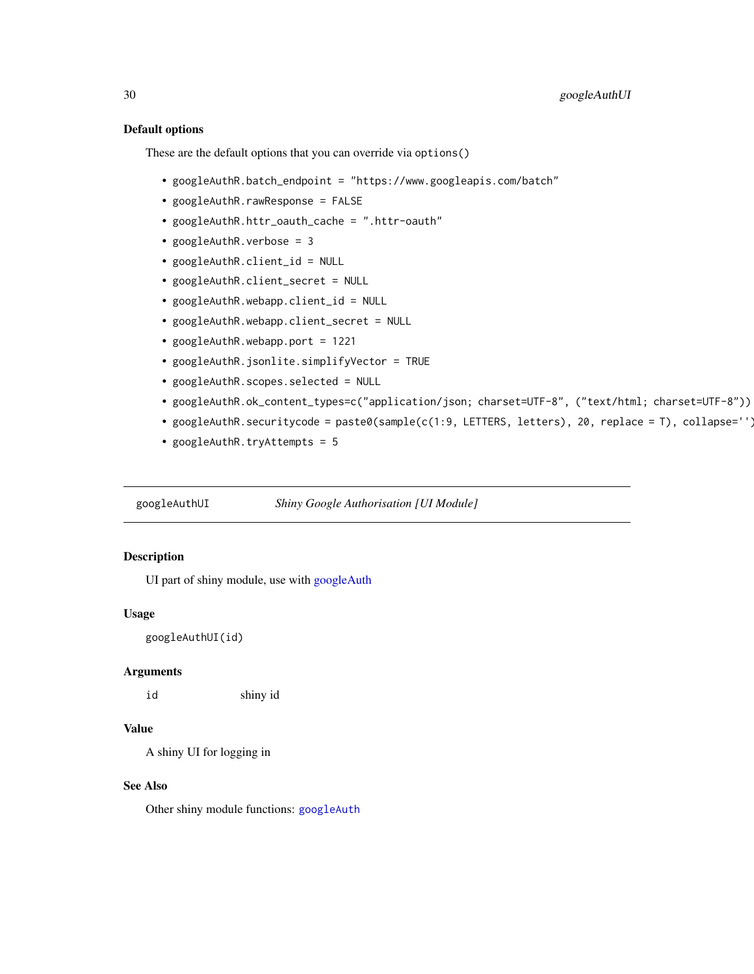#### <span id="page-29-0"></span>Default options

These are the default options that you can override via options()

- googleAuthR.batch\_endpoint = "https://www.googleapis.com/batch"
- googleAuthR.rawResponse = FALSE
- googleAuthR.httr\_oauth\_cache = ".httr-oauth"
- googleAuthR.verbose = 3
- googleAuthR.client\_id = NULL
- googleAuthR.client\_secret = NULL
- googleAuthR.webapp.client\_id = NULL
- googleAuthR.webapp.client\_secret = NULL
- googleAuthR.webapp.port = 1221
- googleAuthR.jsonlite.simplifyVector = TRUE
- googleAuthR.scopes.selected = NULL
- googleAuthR.ok\_content\_types=c("application/json; charset=UTF-8", ("text/html; charset=UTF-8"))
- googleAuthR.securitycode = paste0(sample(c(1:9, LETTERS, letters), 20, replace = T), collapse='')
- googleAuthR.tryAttempts = 5

<span id="page-29-1"></span>googleAuthUI *Shiny Google Authorisation [UI Module]*

## Description

UI part of shiny module, use with [googleAuth](#page-26-1)

## Usage

googleAuthUI(id)

#### Arguments

id shiny id

## Value

A shiny UI for logging in

#### See Also

Other shiny module functions: [googleAuth](#page-26-1)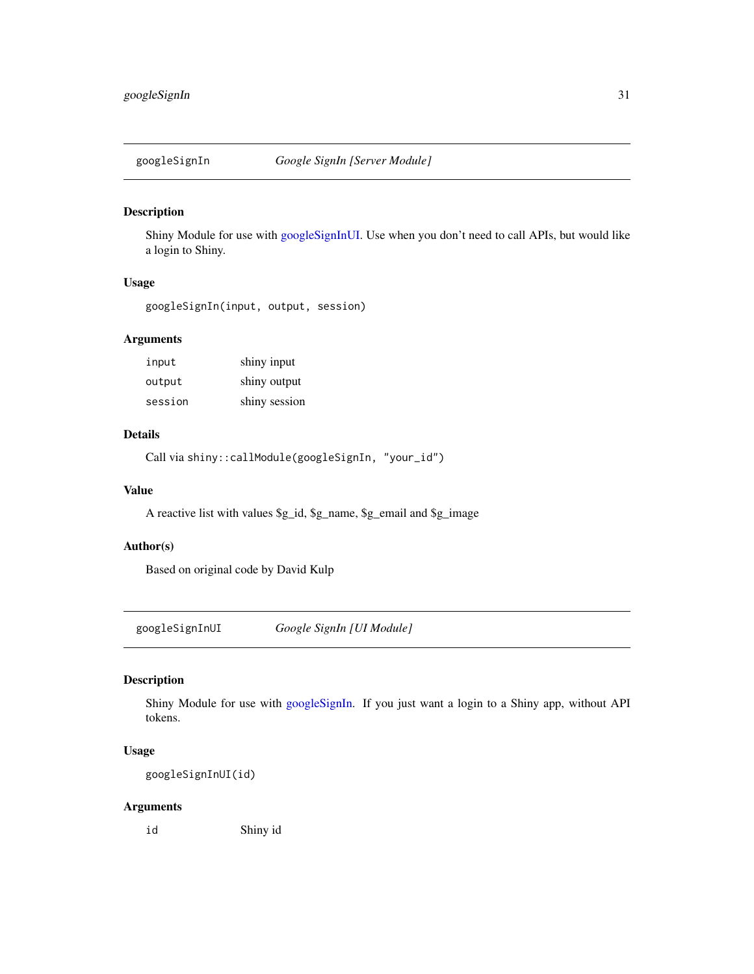<span id="page-30-2"></span><span id="page-30-0"></span>

Shiny Module for use with [googleSignInUI.](#page-30-1) Use when you don't need to call APIs, but would like a login to Shiny.

## Usage

googleSignIn(input, output, session)

## Arguments

| input   | shiny input   |
|---------|---------------|
| output  | shiny output  |
| session | shiny session |

## Details

Call via shiny::callModule(googleSignIn, "your\_id")

#### Value

A reactive list with values \$g\_id, \$g\_name, \$g\_email and \$g\_image

## Author(s)

Based on original code by David Kulp

<span id="page-30-1"></span>googleSignInUI *Google SignIn [UI Module]*

## Description

Shiny Module for use with [googleSignIn.](#page-30-2) If you just want a login to a Shiny app, without API tokens.

## Usage

googleSignInUI(id)

## Arguments

id Shiny id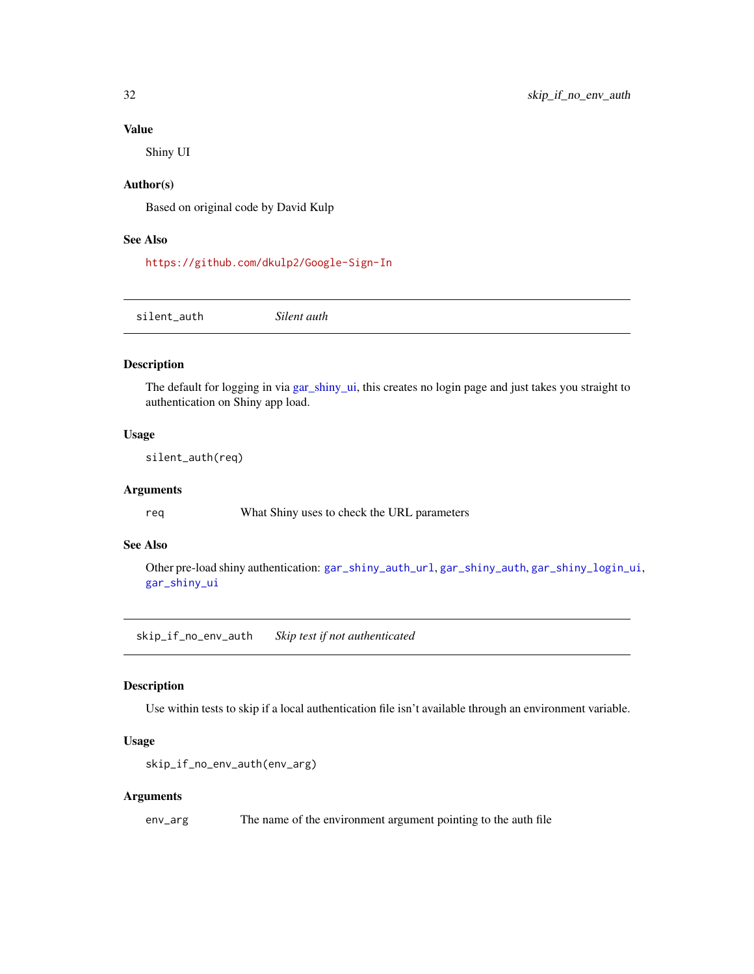#### Value

Shiny UI

## Author(s)

Based on original code by David Kulp

## See Also

<https://github.com/dkulp2/Google-Sign-In>

<span id="page-31-1"></span>silent\_auth *Silent auth*

## Description

The default for logging in via [gar\\_shiny\\_ui,](#page-25-1) this creates no login page and just takes you straight to authentication on Shiny app load.

#### Usage

silent\_auth(req)

#### Arguments

req What Shiny uses to check the URL parameters

#### See Also

Other pre-load shiny authentication: [gar\\_shiny\\_auth\\_url](#page-23-1), [gar\\_shiny\\_auth](#page-22-1), [gar\\_shiny\\_login\\_ui](#page-24-1), [gar\\_shiny\\_ui](#page-25-1)

skip\_if\_no\_env\_auth *Skip test if not authenticated*

## Description

Use within tests to skip if a local authentication file isn't available through an environment variable.

#### Usage

```
skip_if_no_env_auth(env_arg)
```
#### Arguments

env\_arg The name of the environment argument pointing to the auth file

<span id="page-31-0"></span>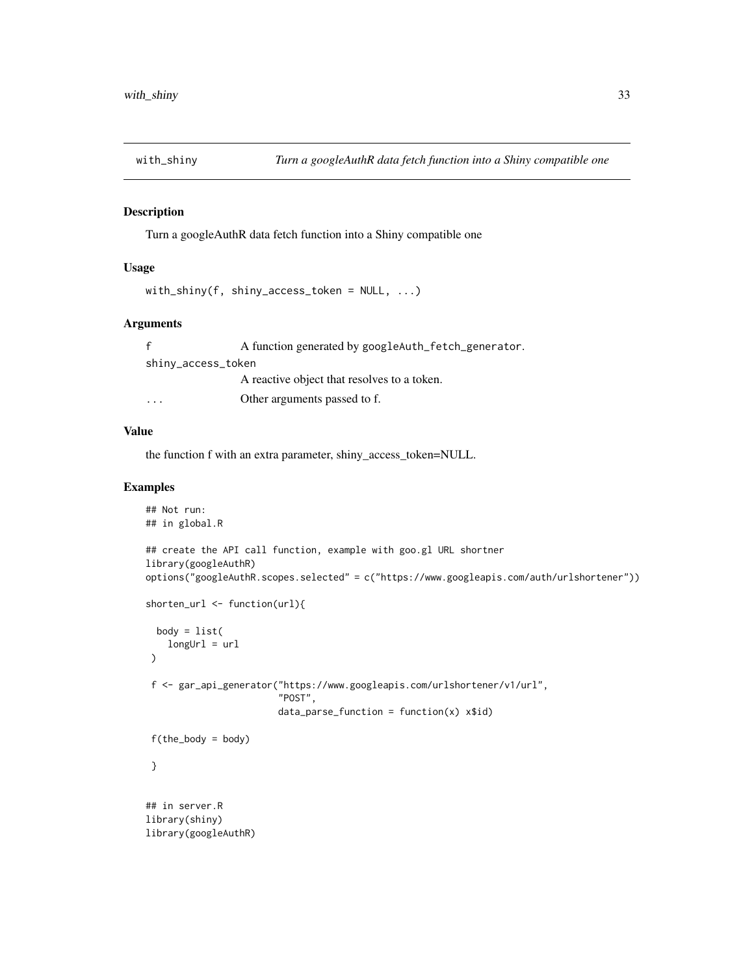<span id="page-32-0"></span>

Turn a googleAuthR data fetch function into a Shiny compatible one

## Usage

```
with_shiny(f, shiny_access_token = NULL, ...)
```
## Arguments

|                    | A function generated by googleAuth_fetch_generator. |  |
|--------------------|-----------------------------------------------------|--|
| shiny_access_token |                                                     |  |
|                    | A reactive object that resolves to a token.         |  |
| $\cdot$            | Other arguments passed to f.                        |  |

#### Value

the function f with an extra parameter, shiny\_access\_token=NULL.

## Examples

```
## Not run:
## in global.R
## create the API call function, example with goo.gl URL shortner
library(googleAuthR)
options("googleAuthR.scopes.selected" = c("https://www.googleapis.com/auth/urlshortener"))
shorten_url <- function(url){
 body = list(longUr1 = ur1)
f <- gar_api_generator("https://www.googleapis.com/urlshortener/v1/url",
                        "POST",
                        data\_parse\_function = function(x) x$id)
f(the_body = body)
}
## in server.R
library(shiny)
library(googleAuthR)
```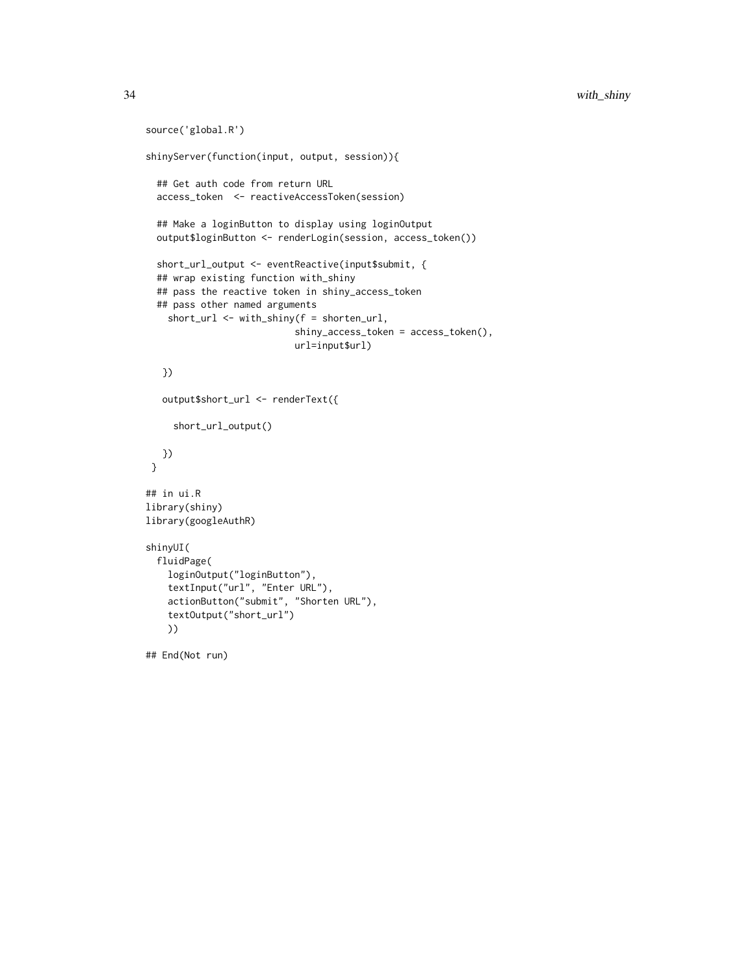```
source('global.R')
shinyServer(function(input, output, session)){
  ## Get auth code from return URL
  access_token <- reactiveAccessToken(session)
  ## Make a loginButton to display using loginOutput
  output$loginButton <- renderLogin(session, access_token())
  short_url_output <- eventReactive(input$submit, {
  ## wrap existing function with_shiny
  ## pass the reactive token in shiny_access_token
  ## pass other named arguments
    short_url <- with_shiny(f = shorten_url,
                           shiny_access_token = access_token(),
                           url=input$url)
  })
   output$short_url <- renderText({
     short_url_output()
  })
 }
## in ui.R
library(shiny)
library(googleAuthR)
shinyUI(
  fluidPage(
    loginOutput("loginButton"),
    textInput("url", "Enter URL"),
    actionButton("submit", "Shorten URL"),
    textOutput("short_url")
   ))
## End(Not run)
```